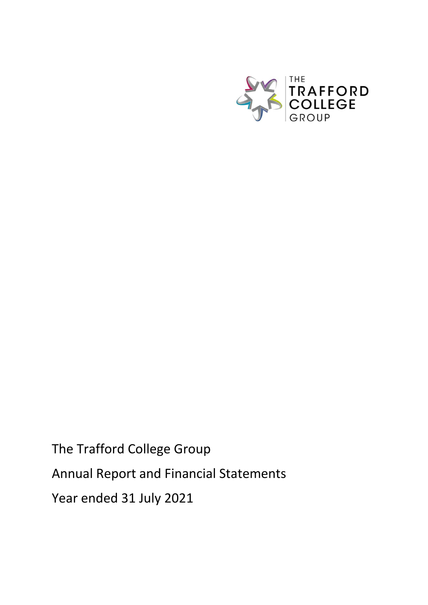

The Trafford College Group Annual Report and Financial Statements Year ended 31 July 2021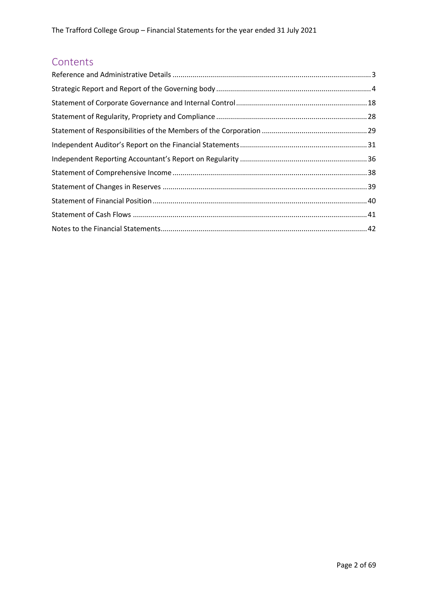# Contents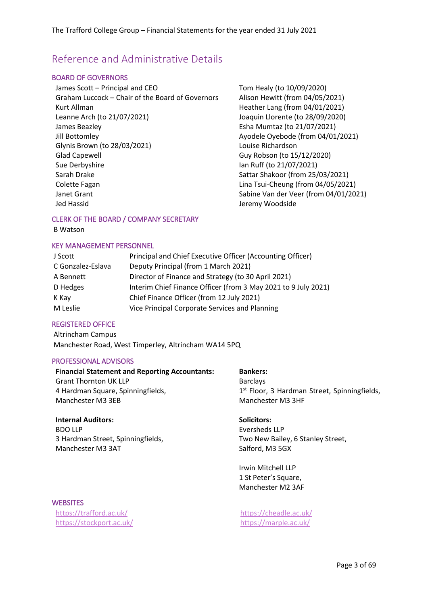### <span id="page-2-0"></span>Reference and Administrative Details

#### BOARD OF GOVERNORS

James Scott – Principal and CEO Tom Healy (to 10/09/2020) Graham Luccock – Chair of the Board of Governors Alison Hewitt (from 04/05/2021) Kurt Allman **Heather Lang (from 04/01/2021)** Leanne Arch (to 21/07/2021) Joaquin Llorente (to 28/09/2020) James Beazley **Esha Mumtaz (to 21/07/2021)** Jill Bottomley **Ayodele Oyebode (from 04/01/2021)** Glynis Brown (to 28/03/2021) Louise Richardson Glad Capewell Guy Robson (to 15/12/2020) Sue Derbyshire **Ian Ruff** (to 21/07/2021) Sarah Drake Sarah Drake Sarah Drake Sarah Drake Sarah Drake Shakoor (from 25/03/2021) Colette Fagan Lina Tsui-Cheung (from 04/05/2021) Janet Grant Sabine Van der Veer (from 04/01/2021) Jed Hassid Jeremy Woodside

#### CLERK OF THE BOARD / COMPANY SECRETARY

B Watson

#### KEY MANAGEMENT PERSONNEL

| J Scott           | Principal and Chief Executive Officer (Accounting Officer)     |
|-------------------|----------------------------------------------------------------|
| C Gonzalez-Eslava | Deputy Principal (from 1 March 2021)                           |
| A Bennett         | Director of Finance and Strategy (to 30 April 2021)            |
| D Hedges          | Interim Chief Finance Officer (from 3 May 2021 to 9 July 2021) |
| K Kay             | Chief Finance Officer (from 12 July 2021)                      |
| M Leslie          | Vice Principal Corporate Services and Planning                 |

#### REGISTERED OFFICE

Altrincham Campus Manchester Road, West Timperley, Altrincham WA14 5PQ

#### PROFESSIONAL ADVISORS

| <b>Financial Statement and Reporting Accountants:</b> | <b>Bankers:</b>                                          |
|-------------------------------------------------------|----------------------------------------------------------|
| <b>Grant Thornton UK LLP</b>                          | <b>Barclays</b>                                          |
| 4 Hardman Square, Spinningfields,                     | 1 <sup>st</sup> Floor, 3 Hardman Street, Spinningfields, |
| Manchester M3 3EB                                     | Manchester M3 3HF                                        |
| <b>Internal Auditors:</b>                             | Solicitors:                                              |

BDO LLP 3 Hardman Street, Spinningfields, Manchester M3 3AT

**Solicitors:** Eversheds LLP Two New Bailey, 6 Stanley Street, Salford, M3 5GX

Irwin Mitchell LLP 1 St Peter's Square, Manchester M2 3AF

# **WEBSITES**

<https://trafford.ac.uk/> <https://cheadle.ac.uk/> <https://stockport.ac.uk/> <https://marple.ac.uk/>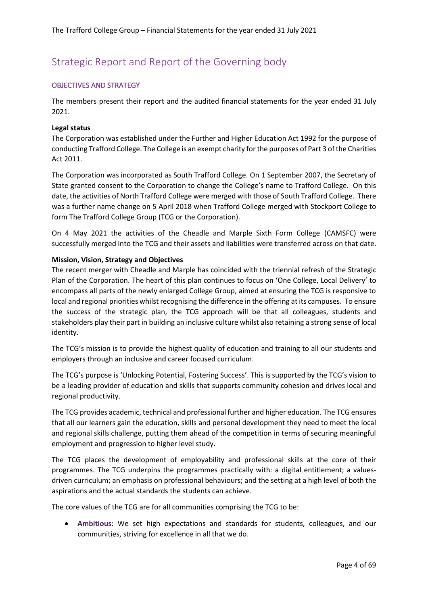# <span id="page-3-0"></span>Strategic Report and Report of the Governing body

#### OBJECTIVES AND STRATEGY

The members present their report and the audited financial statements for the year ended 31 July 2021.

#### **Legal status**

The Corporation was established under the Further and Higher Education Act 1992 for the purpose of conducting Trafford College. The College is an exempt charity for the purposes of Part 3 of the Charities Act 2011.

The Corporation was incorporated as South Trafford College. On 1 September 2007, the Secretary of State granted consent to the Corporation to change the College's name to Trafford College. On this date, the activities of North Trafford College were merged with those of South Trafford College. There was a further name change on 5 April 2018 when Trafford College merged with Stockport College to form The Trafford College Group (TCG or the Corporation).

On 4 May 2021 the activities of the Cheadle and Marple Sixth Form College (CAMSFC) were successfully merged into the TCG and their assets and liabilities were transferred across on that date.

#### **Mission, Vision, Strategy and Objectives**

The recent merger with Cheadle and Marple has coincided with the triennial refresh of the Strategic Plan of the Corporation. The heart of this plan continues to focus on 'One College, Local Delivery' to encompass all parts of the newly enlarged College Group, aimed at ensuring the TCG is responsive to local and regional priorities whilst recognising the difference in the offering at its campuses. To ensure the success of the strategic plan, the TCG approach will be that all colleagues, students and stakeholders play their part in building an inclusive culture whilst also retaining a strong sense of local identity.

The TCG's mission is to provide the highest quality of education and training to all our students and employers through an inclusive and career focused curriculum.

The TCG's purpose is 'Unlocking Potential, Fostering Success'. This is supported by the TCG's vision to be a leading provider of education and skills that supports community cohesion and drives local and regional productivity.

The TCG provides academic, technical and professional further and higher education. The TCG ensures that all our learners gain the education, skills and personal development they need to meet the local and regional skills challenge, putting them ahead of the competition in terms of securing meaningful employment and progression to higher level study.

The TCG places the development of employability and professional skills at the core of their programmes. The TCG underpins the programmes practically with: a digital entitlement; a valuesdriven curriculum; an emphasis on professional behaviours; and the setting at a high level of both the aspirations and the actual standards the students can achieve.

The core values of the TCG are for all communities comprising the TCG to be:

• **Ambitious**: We set high expectations and standards for students, colleagues, and our communities, striving for excellence in all that we do.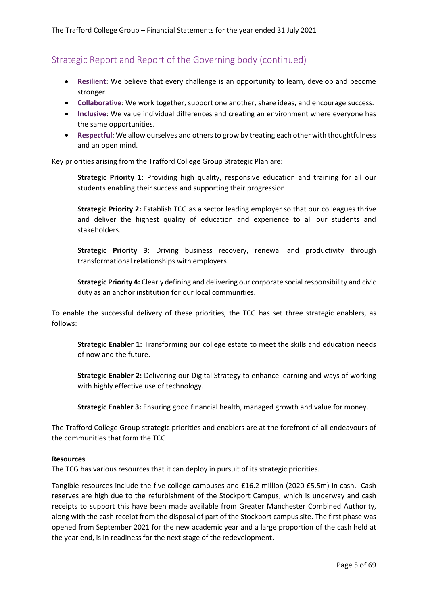- **Resilient**: We believe that every challenge is an opportunity to learn, develop and become stronger.
- **Collaborative**: We work together, support one another, share ideas, and encourage success.
- **Inclusive**: We value individual differences and creating an environment where everyone has the same opportunities.
- **Respectful**: We allow ourselves and others to grow by treating each other with thoughtfulness and an open mind.

Key priorities arising from the Trafford College Group Strategic Plan are:

**Strategic Priority 1:** Providing high quality, responsive education and training for all our students enabling their success and supporting their progression.

**Strategic Priority 2:** Establish TCG as a sector leading employer so that our colleagues thrive and deliver the highest quality of education and experience to all our students and stakeholders.

**Strategic Priority 3:** Driving business recovery, renewal and productivity through transformational relationships with employers.

**Strategic Priority 4:** Clearly defining and delivering our corporate social responsibility and civic duty as an anchor institution for our local communities.

To enable the successful delivery of these priorities, the TCG has set three strategic enablers, as follows:

**Strategic Enabler 1:** Transforming our college estate to meet the skills and education needs of now and the future.

**Strategic Enabler 2:** Delivering our Digital Strategy to enhance learning and ways of working with highly effective use of technology.

**Strategic Enabler 3:** Ensuring good financial health, managed growth and value for money.

The Trafford College Group strategic priorities and enablers are at the forefront of all endeavours of the communities that form the TCG.

#### **Resources**

The TCG has various resources that it can deploy in pursuit of its strategic priorities.

Tangible resources include the five college campuses and £16.2 million (2020 £5.5m) in cash. Cash reserves are high due to the refurbishment of the Stockport Campus, which is underway and cash receipts to support this have been made available from Greater Manchester Combined Authority, along with the cash receipt from the disposal of part of the Stockport campus site. The first phase was opened from September 2021 for the new academic year and a large proportion of the cash held at the year end, is in readiness for the next stage of the redevelopment.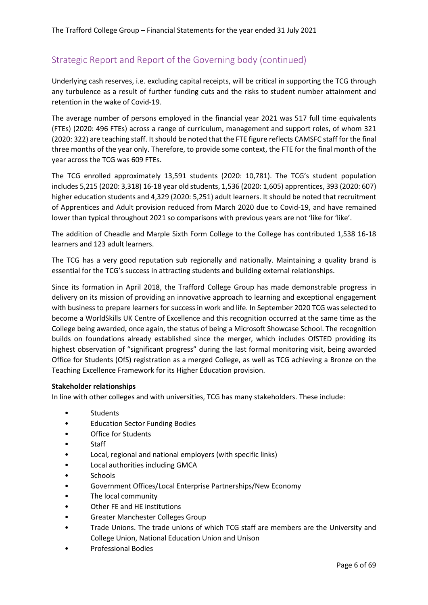Underlying cash reserves, i.e. excluding capital receipts, will be critical in supporting the TCG through any turbulence as a result of further funding cuts and the risks to student number attainment and retention in the wake of Covid-19.

The average number of persons employed in the financial year 2021 was 517 full time equivalents (FTEs) (2020: 496 FTEs) across a range of curriculum, management and support roles, of whom 321 (2020: 322) are teaching staff. It should be noted that the FTE figure reflects CAMSFC staff for the final three months of the year only. Therefore, to provide some context, the FTE for the final month of the year across the TCG was 609 FTEs.

The TCG enrolled approximately 13,591 students (2020: 10,781). The TCG's student population includes 5,215 (2020: 3,318) 16-18 year old students, 1,536 (2020: 1,605) apprentices, 393 (2020: 607) higher education students and 4,329 (2020: 5,251) adult learners. It should be noted that recruitment of Apprentices and Adult provision reduced from March 2020 due to Covid-19, and have remained lower than typical throughout 2021 so comparisons with previous years are not 'like for 'like'.

The addition of Cheadle and Marple Sixth Form College to the College has contributed 1,538 16-18 learners and 123 adult learners.

The TCG has a very good reputation sub regionally and nationally. Maintaining a quality brand is essential for the TCG's success in attracting students and building external relationships.

Since its formation in April 2018, the Trafford College Group has made demonstrable progress in delivery on its mission of providing an innovative approach to learning and exceptional engagement with business to prepare learners for success in work and life. In September 2020 TCG was selected to become a WorldSkills UK Centre of Excellence and this recognition occurred at the same time as the College being awarded, once again, the status of being a Microsoft Showcase School. The recognition builds on foundations already established since the merger, which includes OfSTED providing its highest observation of "significant progress" during the last formal monitoring visit, being awarded Office for Students (OfS) registration as a merged College, as well as TCG achieving a Bronze on the Teaching Excellence Framework for its Higher Education provision.

#### **Stakeholder relationships**

In line with other colleges and with universities, TCG has many stakeholders. These include:

- **Students**
- Education Sector Funding Bodies
- Office for Students
- Staff
- Local, regional and national employers (with specific links)
- Local authorities including GMCA
- **Schools**
- Government Offices/Local Enterprise Partnerships/New Economy
- The local community
- Other FE and HE institutions
- Greater Manchester Colleges Group
- Trade Unions. The trade unions of which TCG staff are members are the University and College Union, National Education Union and Unison
- Professional Bodies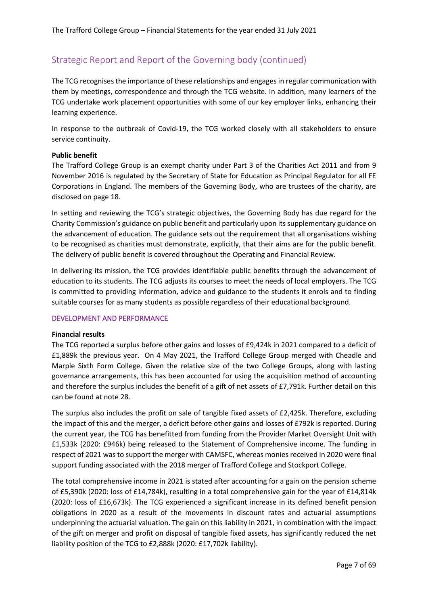The TCG recognises the importance of these relationships and engages in regular communication with them by meetings, correspondence and through the TCG website. In addition, many learners of the TCG undertake work placement opportunities with some of our key employer links, enhancing their learning experience.

In response to the outbreak of Covid-19, the TCG worked closely with all stakeholders to ensure service continuity.

#### **Public benefit**

The Trafford College Group is an exempt charity under Part 3 of the Charities Act 2011 and from 9 November 2016 is regulated by the Secretary of State for Education as Principal Regulator for all FE Corporations in England. The members of the Governing Body, who are trustees of the charity, are disclosed on page [18.](#page-17-0)

In setting and reviewing the TCG's strategic objectives, the Governing Body has due regard for the Charity Commission's guidance on public benefit and particularly upon its supplementary guidance on the advancement of education. The guidance sets out the requirement that all organisations wishing to be recognised as charities must demonstrate, explicitly, that their aims are for the public benefit. The delivery of public benefit is covered throughout the Operating and Financial Review.

In delivering its mission, the TCG provides identifiable public benefits through the advancement of education to its students. The TCG adjusts its courses to meet the needs of local employers. The TCG is committed to providing information, advice and guidance to the students it enrols and to finding suitable courses for as many students as possible regardless of their educational background.

#### DEVELOPMENT AND PERFORMANCE

#### **Financial results**

The TCG reported a surplus before other gains and losses of £9,424k in 2021 compared to a deficit of £1,889k the previous year. On 4 May 2021, the Trafford College Group merged with Cheadle and Marple Sixth Form College. Given the relative size of the two College Groups, along with lasting governance arrangements, this has been accounted for using the acquisition method of accounting and therefore the surplus includes the benefit of a gift of net assets of £7,791k. Further detail on this can be found at note 28.

The surplus also includes the profit on sale of tangible fixed assets of £2,425k. Therefore, excluding the impact of this and the merger, a deficit before other gains and losses of £792k is reported. During the current year, the TCG has benefitted from funding from the Provider Market Oversight Unit with £1,533k (2020: £946k) being released to the Statement of Comprehensive income. The funding in respect of 2021 was to support the merger with CAMSFC, whereas monies received in 2020 were final support funding associated with the 2018 merger of Trafford College and Stockport College.

The total comprehensive income in 2021 is stated after accounting for a gain on the pension scheme of £5,390k (2020: loss of £14,784k), resulting in a total comprehensive gain for the year of £14,814k (2020: loss of £16,673k). The TCG experienced a significant increase in its defined benefit pension obligations in 2020 as a result of the movements in discount rates and actuarial assumptions underpinning the actuarial valuation. The gain on this liability in 2021, in combination with the impact of the gift on merger and profit on disposal of tangible fixed assets, has significantly reduced the net liability position of the TCG to £2,888k (2020: £17,702k liability).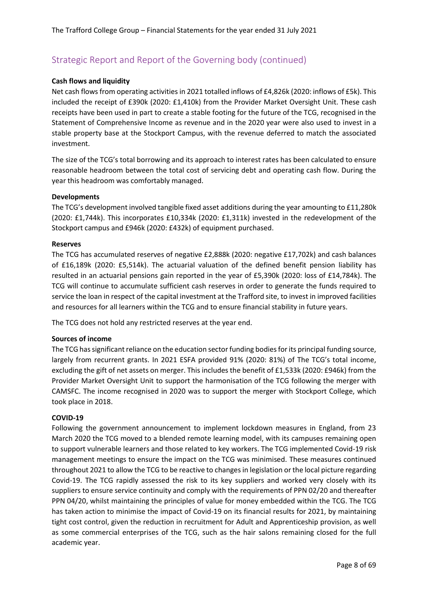#### **Cash flows and liquidity**

Net cash flows from operating activities in 2021 totalled inflows of £4,826k (2020: inflows of £5k). This included the receipt of £390k (2020: £1,410k) from the Provider Market Oversight Unit. These cash receipts have been used in part to create a stable footing for the future of the TCG, recognised in the Statement of Comprehensive Income as revenue and in the 2020 year were also used to invest in a stable property base at the Stockport Campus, with the revenue deferred to match the associated investment.

The size of the TCG's total borrowing and its approach to interest rates has been calculated to ensure reasonable headroom between the total cost of servicing debt and operating cash flow. During the year this headroom was comfortably managed.

#### **Developments**

The TCG's development involved tangible fixed asset additions during the year amounting to £11,280k (2020: £1,744k). This incorporates £10,334k (2020: £1,311k) invested in the redevelopment of the Stockport campus and £946k (2020: £432k) of equipment purchased.

#### **Reserves**

The TCG has accumulated reserves of negative £2,888k (2020: negative £17,702k) and cash balances of £16,189k (2020: £5,514k). The actuarial valuation of the defined benefit pension liability has resulted in an actuarial pensions gain reported in the year of £5,390k (2020: loss of £14,784k). The TCG will continue to accumulate sufficient cash reserves in order to generate the funds required to service the loan in respect of the capital investment at the Trafford site, to invest in improved facilities and resources for all learners within the TCG and to ensure financial stability in future years.

The TCG does not hold any restricted reserves at the year end.

#### **Sources of income**

The TCG has significant reliance on the education sector funding bodies for its principal funding source, largely from recurrent grants. In 2021 ESFA provided 91% (2020: 81%) of The TCG's total income, excluding the gift of net assets on merger. This includes the benefit of £1,533k (2020: £946k) from the Provider Market Oversight Unit to support the harmonisation of the TCG following the merger with CAMSFC. The income recognised in 2020 was to support the merger with Stockport College, which took place in 2018.

#### **COVID-19**

Following the government announcement to implement lockdown measures in England, from 23 March 2020 the TCG moved to a blended remote learning model, with its campuses remaining open to support vulnerable learners and those related to key workers. The TCG implemented Covid-19 risk management meetings to ensure the impact on the TCG was minimised. These measures continued throughout 2021 to allow the TCG to be reactive to changes in legislation or the local picture regarding Covid-19. The TCG rapidly assessed the risk to its key suppliers and worked very closely with its suppliers to ensure service continuity and comply with the requirements of PPN 02/20 and thereafter PPN 04/20, whilst maintaining the principles of value for money embedded within the TCG. The TCG has taken action to minimise the impact of Covid-19 on its financial results for 2021, by maintaining tight cost control, given the reduction in recruitment for Adult and Apprenticeship provision, as well as some commercial enterprises of the TCG, such as the hair salons remaining closed for the full academic year.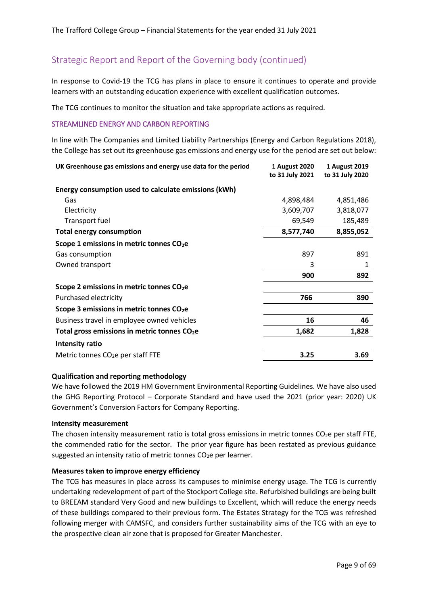In response to Covid-19 the TCG has plans in place to ensure it continues to operate and provide learners with an outstanding education experience with excellent qualification outcomes.

The TCG continues to monitor the situation and take appropriate actions as required.

#### STREAMLINED ENERGY AND CARBON REPORTING

In line with The Companies and Limited Liability Partnerships (Energy and Carbon Regulations 2018), the College has set out its greenhouse gas emissions and energy use for the period are set out below:

| UK Greenhouse gas emissions and energy use data for the period | 1 August 2020   | 1 August 2019   |
|----------------------------------------------------------------|-----------------|-----------------|
|                                                                | to 31 July 2021 | to 31 July 2020 |
| Energy consumption used to calculate emissions (kWh)           |                 |                 |
| Gas                                                            | 4,898,484       | 4,851,486       |
| Electricity                                                    | 3,609,707       | 3,818,077       |
| Transport fuel                                                 | 69,549          | 185,489         |
| <b>Total energy consumption</b>                                | 8,577,740       | 8,855,052       |
| Scope 1 emissions in metric tonnes CO <sub>2</sub> e           |                 |                 |
| Gas consumption                                                | 897             | 891             |
| Owned transport                                                | 3               | 1               |
|                                                                | 900             | 892             |
| Scope 2 emissions in metric tonnes CO <sub>2</sub> e           |                 |                 |
| Purchased electricity                                          | 766             | 890             |
| Scope 3 emissions in metric tonnes $CO2e$                      |                 |                 |
| Business travel in employee owned vehicles                     | 16              | 46              |
| Total gross emissions in metric tonnes CO <sub>2</sub> e       | 1,682           | 1,828           |
| Intensity ratio                                                |                 |                 |
| Metric tonnes CO <sub>2</sub> e per staff FTE                  | 3.25            | 3.69            |

#### **Qualification and reporting methodology**

We have followed the 2019 HM Government Environmental Reporting Guidelines. We have also used the GHG Reporting Protocol – Corporate Standard and have used the 2021 (prior year: 2020) UK Government's Conversion Factors for Company Reporting.

#### **Intensity measurement**

The chosen intensity measurement ratio is total gross emissions in metric tonnes  $CO<sub>2</sub>e$  per staff FTE, the commended ratio for the sector. The prior year figure has been restated as previous guidance suggested an intensity ratio of metric tonnes  $CO<sub>2</sub>e$  per learner.

#### **Measures taken to improve energy efficiency**

The TCG has measures in place across its campuses to minimise energy usage. The TCG is currently undertaking redevelopment of part of the Stockport College site. Refurbished buildings are being built to BREEAM standard Very Good and new buildings to Excellent, which will reduce the energy needs of these buildings compared to their previous form. The Estates Strategy for the TCG was refreshed following merger with CAMSFC, and considers further sustainability aims of the TCG with an eye to the prospective clean air zone that is proposed for Greater Manchester.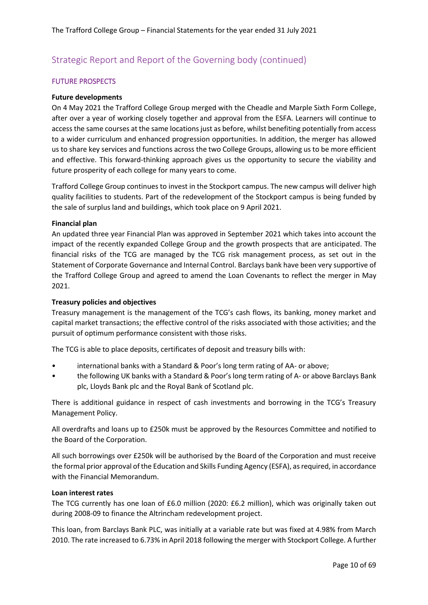#### FUTURE PROSPECTS

#### **Future developments**

On 4 May 2021 the Trafford College Group merged with the Cheadle and Marple Sixth Form College, after over a year of working closely together and approval from the ESFA. Learners will continue to access the same courses at the same locations just as before, whilst benefiting potentially from access to a wider curriculum and enhanced progression opportunities. In addition, the merger has allowed us to share key services and functions across the two College Groups, allowing us to be more efficient and effective. This forward-thinking approach gives us the opportunity to secure the viability and future prosperity of each college for many years to come.

Trafford College Group continues to invest in the Stockport campus. The new campus will deliver high quality facilities to students. Part of the redevelopment of the Stockport campus is being funded by the sale of surplus land and buildings, which took place on 9 April 2021.

#### **Financial plan**

An updated three year Financial Plan was approved in September 2021 which takes into account the impact of the recently expanded College Group and the growth prospects that are anticipated. The financial risks of the TCG are managed by the TCG risk management process, as set out in the Statement of Corporate Governance and Internal Control. Barclays bank have been very supportive of the Trafford College Group and agreed to amend the Loan Covenants to reflect the merger in May 2021.

#### **Treasury policies and objectives**

Treasury management is the management of the TCG's cash flows, its banking, money market and capital market transactions; the effective control of the risks associated with those activities; and the pursuit of optimum performance consistent with those risks.

The TCG is able to place deposits, certificates of deposit and treasury bills with:

- international banks with a Standard & Poor's long term rating of AA- or above;
- the following UK banks with a Standard & Poor's long term rating of A- or above Barclays Bank plc, Lloyds Bank plc and the Royal Bank of Scotland plc.

There is additional guidance in respect of cash investments and borrowing in the TCG's Treasury Management Policy.

All overdrafts and loans up to £250k must be approved by the Resources Committee and notified to the Board of the Corporation.

All such borrowings over £250k will be authorised by the Board of the Corporation and must receive the formal prior approval of the Education and Skills Funding Agency (ESFA), as required, in accordance with the Financial Memorandum.

#### **Loan interest rates**

The TCG currently has one loan of £6.0 million (2020: £6.2 million), which was originally taken out during 2008-09 to finance the Altrincham redevelopment project.

This loan, from Barclays Bank PLC, was initially at a variable rate but was fixed at 4.98% from March 2010. The rate increased to 6.73% in April 2018 following the merger with Stockport College. A further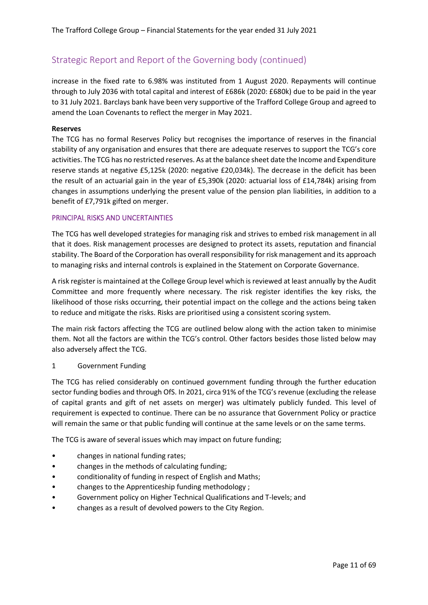increase in the fixed rate to 6.98% was instituted from 1 August 2020. Repayments will continue through to July 2036 with total capital and interest of £686k (2020: £680k) due to be paid in the year to 31 July 2021. Barclays bank have been very supportive of the Trafford College Group and agreed to amend the Loan Covenants to reflect the merger in May 2021.

#### **Reserves**

The TCG has no formal Reserves Policy but recognises the importance of reserves in the financial stability of any organisation and ensures that there are adequate reserves to support the TCG's core activities. The TCG has no restricted reserves. As at the balance sheet date the Income and Expenditure reserve stands at negative £5,125k (2020: negative £20,034k). The decrease in the deficit has been the result of an actuarial gain in the year of £5,390k (2020: actuarial loss of £14,784k) arising from changes in assumptions underlying the present value of the pension plan liabilities, in addition to a benefit of £7,791k gifted on merger.

#### PRINCIPAL RISKS AND UNCERTAINTIES

The TCG has well developed strategies for managing risk and strives to embed risk management in all that it does. Risk management processes are designed to protect its assets, reputation and financial stability. The Board of the Corporation has overall responsibility for risk management and its approach to managing risks and internal controls is explained in the Statement on Corporate Governance.

A risk register is maintained at the College Group level which is reviewed at least annually by the Audit Committee and more frequently where necessary. The risk register identifies the key risks, the likelihood of those risks occurring, their potential impact on the college and the actions being taken to reduce and mitigate the risks. Risks are prioritised using a consistent scoring system.

The main risk factors affecting the TCG are outlined below along with the action taken to minimise them. Not all the factors are within the TCG's control. Other factors besides those listed below may also adversely affect the TCG.

1 Government Funding

The TCG has relied considerably on continued government funding through the further education sector funding bodies and through OfS. In 2021, circa 91% of the TCG's revenue (excluding the release of capital grants and gift of net assets on merger) was ultimately publicly funded. This level of requirement is expected to continue. There can be no assurance that Government Policy or practice will remain the same or that public funding will continue at the same levels or on the same terms.

The TCG is aware of several issues which may impact on future funding;

- changes in national funding rates;
- changes in the methods of calculating funding;
- conditionality of funding in respect of English and Maths;
- changes to the Apprenticeship funding methodology ;
- Government policy on Higher Technical Qualifications and T-levels; and
- changes as a result of devolved powers to the City Region.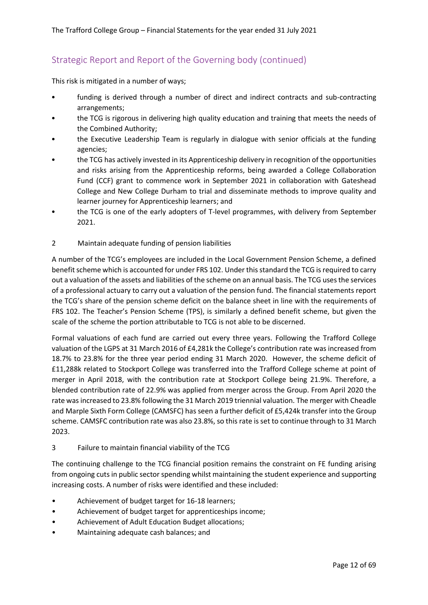This risk is mitigated in a number of ways;

- funding is derived through a number of direct and indirect contracts and sub-contracting arrangements;
- the TCG is rigorous in delivering high quality education and training that meets the needs of the Combined Authority;
- the Executive Leadership Team is regularly in dialogue with senior officials at the funding agencies;
- the TCG has actively invested in its Apprenticeship delivery in recognition of the opportunities and risks arising from the Apprenticeship reforms, being awarded a College Collaboration Fund (CCF) grant to commence work in September 2021 in collaboration with Gateshead College and New College Durham to trial and disseminate methods to improve quality and learner journey for Apprenticeship learners; and
- the TCG is one of the early adopters of T-level programmes, with delivery from September 2021.
- 2 Maintain adequate funding of pension liabilities

A number of the TCG's employees are included in the Local Government Pension Scheme, a defined benefit scheme which is accounted for under FRS 102. Under this standard the TCG is required to carry out a valuation of the assets and liabilities of the scheme on an annual basis. The TCG uses the services of a professional actuary to carry out a valuation of the pension fund. The financial statements report the TCG's share of the pension scheme deficit on the balance sheet in line with the requirements of FRS 102. The Teacher's Pension Scheme (TPS), is similarly a defined benefit scheme, but given the scale of the scheme the portion attributable to TCG is not able to be discerned.

Formal valuations of each fund are carried out every three years. Following the Trafford College valuation of the LGPS at 31 March 2016 of £4,281k the College's contribution rate was increased from 18.7% to 23.8% for the three year period ending 31 March 2020. However, the scheme deficit of £11,288k related to Stockport College was transferred into the Trafford College scheme at point of merger in April 2018, with the contribution rate at Stockport College being 21.9%. Therefore, a blended contribution rate of 22.9% was applied from merger across the Group. From April 2020 the rate was increased to 23.8% following the 31 March 2019 triennial valuation. The merger with Cheadle and Marple Sixth Form College (CAMSFC) has seen a further deficit of £5,424k transfer into the Group scheme. CAMSFC contribution rate was also 23.8%, so this rate is set to continue through to 31 March 2023.

#### 3 Failure to maintain financial viability of the TCG

The continuing challenge to the TCG financial position remains the constraint on FE funding arising from ongoing cuts in public sector spending whilst maintaining the student experience and supporting increasing costs. A number of risks were identified and these included:

- Achievement of budget target for 16-18 learners;
- Achievement of budget target for apprenticeships income;
- Achievement of Adult Education Budget allocations;
- Maintaining adequate cash balances; and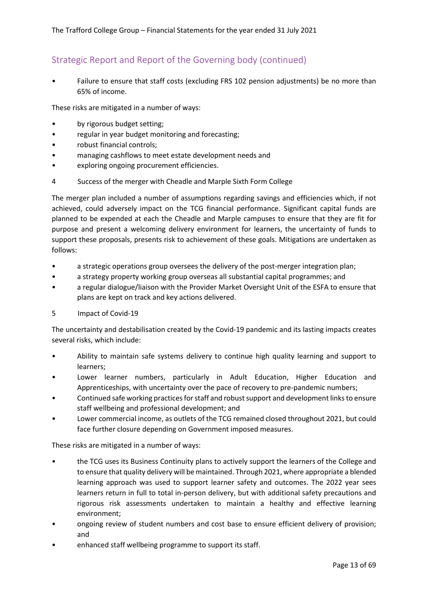Failure to ensure that staff costs (excluding FRS 102 pension adjustments) be no more than 65% of income.

These risks are mitigated in a number of ways:

- by rigorous budget setting;
- regular in year budget monitoring and forecasting;
- robust financial controls;
- managing cashflows to meet estate development needs and
- exploring ongoing procurement efficiencies.

#### 4 Success of the merger with Cheadle and Marple Sixth Form College

The merger plan included a number of assumptions regarding savings and efficiencies which, if not achieved, could adversely impact on the TCG financial performance. Significant capital funds are planned to be expended at each the Cheadle and Marple campuses to ensure that they are fit for purpose and present a welcoming delivery environment for learners, the uncertainty of funds to support these proposals, presents risk to achievement of these goals. Mitigations are undertaken as follows:

- a strategic operations group oversees the delivery of the post-merger integration plan;
- a strategy property working group overseas all substantial capital programmes; and
- a regular dialogue/liaison with the Provider Market Oversight Unit of the ESFA to ensure that plans are kept on track and key actions delivered.
- 5 Impact of Covid-19

The uncertainty and destabilisation created by the Covid-19 pandemic and its lasting impacts creates several risks, which include:

- Ability to maintain safe systems delivery to continue high quality learning and support to learners;
- Lower learner numbers, particularly in Adult Education, Higher Education and Apprenticeships, with uncertainty over the pace of recovery to pre-pandemic numbers;
- Continued safe working practices for staff and robust support and development links to ensure staff wellbeing and professional development; and
- Lower commercial income, as outlets of the TCG remained closed throughout 2021, but could face further closure depending on Government imposed measures.

These risks are mitigated in a number of ways:

- the TCG uses its Business Continuity plans to actively support the learners of the College and to ensure that quality delivery will be maintained. Through 2021, where appropriate a blended learning approach was used to support learner safety and outcomes. The 2022 year sees learners return in full to total in-person delivery, but with additional safety precautions and rigorous risk assessments undertaken to maintain a healthy and effective learning environment;
- ongoing review of student numbers and cost base to ensure efficient delivery of provision; and
- enhanced staff wellbeing programme to support its staff.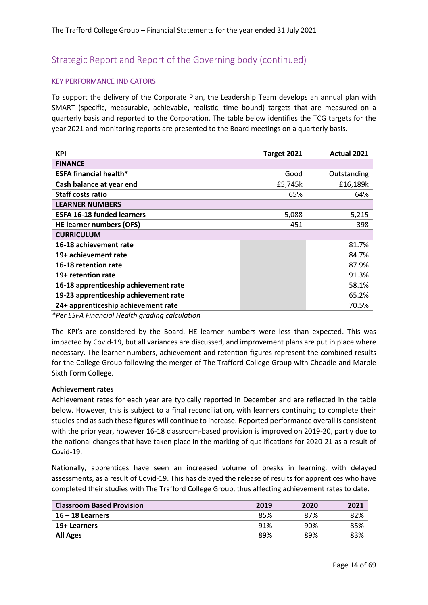#### KEY PERFORMANCE INDICATORS

To support the delivery of the Corporate Plan, the Leadership Team develops an annual plan with SMART (specific, measurable, achievable, realistic, time bound) targets that are measured on a quarterly basis and reported to the Corporation. The table below identifies the TCG targets for the year 2021 and monitoring reports are presented to the Board meetings on a quarterly basis.

| <b>KPI</b>                            | Target 2021 | Actual 2021 |
|---------------------------------------|-------------|-------------|
| <b>FINANCE</b>                        |             |             |
| <b>ESFA financial health*</b>         | Good        | Outstanding |
| Cash balance at year end              | £5,745k     | £16,189k    |
| <b>Staff costs ratio</b>              | 65%         | 64%         |
| <b>LEARNER NUMBERS</b>                |             |             |
| <b>ESFA 16-18 funded learners</b>     | 5,088       | 5,215       |
| <b>HE learner numbers (OFS)</b>       | 451         | 398         |
| <b>CURRICULUM</b>                     |             |             |
| 16-18 achievement rate                |             | 81.7%       |
| 19+ achievement rate                  |             | 84.7%       |
| 16-18 retention rate                  |             | 87.9%       |
| 19+ retention rate                    |             | 91.3%       |
| 16-18 apprenticeship achievement rate |             | 58.1%       |
| 19-23 apprenticeship achievement rate |             | 65.2%       |
| 24+ apprenticeship achievement rate   |             | 70.5%       |

*\*Per ESFA Financial Health grading calculation*

The KPI's are considered by the Board. HE learner numbers were less than expected. This was impacted by Covid-19, but all variances are discussed, and improvement plans are put in place where necessary. The learner numbers, achievement and retention figures represent the combined results for the College Group following the merger of The Trafford College Group with Cheadle and Marple Sixth Form College.

#### **Achievement rates**

Achievement rates for each year are typically reported in December and are reflected in the table below. However, this is subject to a final reconciliation, with learners continuing to complete their studies and as such these figures will continue to increase. Reported performance overall is consistent with the prior year, however 16-18 classroom-based provision is improved on 2019-20, partly due to the national changes that have taken place in the marking of qualifications for 2020-21 as a result of Covid-19.

Nationally, apprentices have seen an increased volume of breaks in learning, with delayed assessments, as a result of Covid-19. This has delayed the release of results for apprentices who have completed their studies with The Trafford College Group, thus affecting achievement rates to date.

| <b>Classroom Based Provision</b> | 2019 | 2020 | 2021 |
|----------------------------------|------|------|------|
| $16 - 18$ Learners               | 85%  | 87%  | 82%  |
| 19+ Learners                     | 91%  | 90%  | 85%  |
| <b>All Ages</b>                  | 89%  | 89%  | 83%  |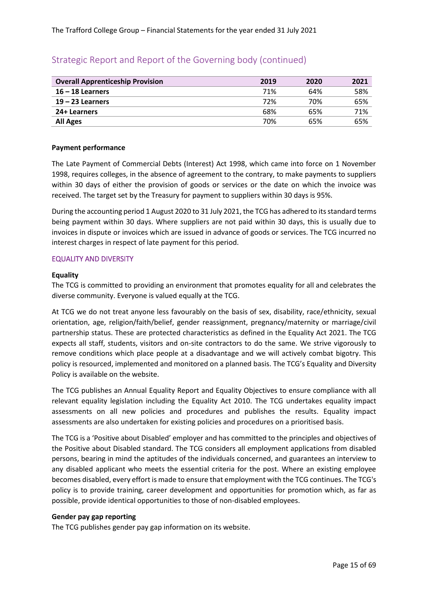| <b>Overall Apprenticeship Provision</b> | 2019 | 2020 | 2021 |
|-----------------------------------------|------|------|------|
| $16 - 18$ Learners                      | 71%  | 64%  | 58%  |
| $19 - 23$ Learners                      | 72%  | 70%  | 65%  |
| 24+ Learners                            | 68%  | 65%  | 71%  |
| <b>All Ages</b>                         | 70%  | 65%  | 65%  |

#### **Payment performance**

The Late Payment of Commercial Debts (Interest) Act 1998, which came into force on 1 November 1998, requires colleges, in the absence of agreement to the contrary, to make payments to suppliers within 30 days of either the provision of goods or services or the date on which the invoice was received. The target set by the Treasury for payment to suppliers within 30 days is 95%.

During the accounting period 1 August 2020 to 31 July 2021, the TCG has adhered to its standard terms being payment within 30 days. Where suppliers are not paid within 30 days, this is usually due to invoices in dispute or invoices which are issued in advance of goods or services. The TCG incurred no interest charges in respect of late payment for this period.

#### EQUALITY AND DIVERSITY

#### **Equality**

The TCG is committed to providing an environment that promotes equality for all and celebrates the diverse community. Everyone is valued equally at the TCG.

At TCG we do not treat anyone less favourably on the basis of sex, disability, race/ethnicity, sexual orientation, age, religion/faith/belief, gender reassignment, pregnancy/maternity or marriage/civil partnership status. These are protected characteristics as defined in the Equality Act 2021. The TCG expects all staff, students, visitors and on-site contractors to do the same. We strive vigorously to remove conditions which place people at a disadvantage and we will actively combat bigotry. This policy is resourced, implemented and monitored on a planned basis. The TCG's Equality and Diversity Policy is available on the website.

The TCG publishes an Annual Equality Report and Equality Objectives to ensure compliance with all relevant equality legislation including the Equality Act 2010. The TCG undertakes equality impact assessments on all new policies and procedures and publishes the results. Equality impact assessments are also undertaken for existing policies and procedures on a prioritised basis.

The TCG is a 'Positive about Disabled' employer and has committed to the principles and objectives of the Positive about Disabled standard. The TCG considers all employment applications from disabled persons, bearing in mind the aptitudes of the individuals concerned, and guarantees an interview to any disabled applicant who meets the essential criteria for the post. Where an existing employee becomes disabled, every effort is made to ensure that employment with the TCG continues. The TCG's policy is to provide training, career development and opportunities for promotion which, as far as possible, provide identical opportunities to those of non-disabled employees.

#### **Gender pay gap reporting**

The TCG publishes gender pay gap information on its website.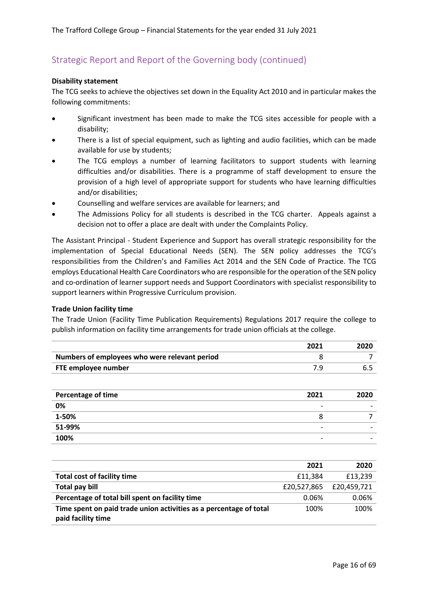#### **Disability statement**

The TCG seeks to achieve the objectives set down in the Equality Act 2010 and in particular makes the following commitments:

- Significant investment has been made to make the TCG sites accessible for people with a disability;
- There is a list of special equipment, such as lighting and audio facilities, which can be made available for use by students;
- The TCG employs a number of learning facilitators to support students with learning difficulties and/or disabilities. There is a programme of staff development to ensure the provision of a high level of appropriate support for students who have learning difficulties and/or disabilities;
- Counselling and welfare services are available for learners; and
- The Admissions Policy for all students is described in the TCG charter. Appeals against a decision not to offer a place are dealt with under the Complaints Policy.

The Assistant Principal - Student Experience and Support has overall strategic responsibility for the implementation of Special Educational Needs (SEN). The SEN policy addresses the TCG's responsibilities from the Children's and Families Act 2014 and the SEN Code of Practice. The TCG employs Educational Health Care Coordinators who are responsible for the operation of the SEN policy and co-ordination of learner support needs and Support Coordinators with specialist responsibility to support learners within Progressive Curriculum provision.

#### **Trade Union facility time**

The Trade Union (Facility Time Publication Requirements) Regulations 2017 require the college to publish information on facility time arrangements for trade union officials at the college.

|                                               | 2021 | 2020 |
|-----------------------------------------------|------|------|
| Numbers of employees who were relevant period |      |      |
| FTE employee number                           |      |      |
|                                               |      |      |

| Percentage of time | 2021                     | 2020                     |
|--------------------|--------------------------|--------------------------|
| 0%                 | -                        | -                        |
| 1-50%              |                          |                          |
| 51-99%             | $\overline{\phantom{0}}$ | $\overline{\phantom{0}}$ |
| 100%               | -                        |                          |

|                                                                                          | 2021        | 2020        |
|------------------------------------------------------------------------------------------|-------------|-------------|
| <b>Total cost of facility time</b>                                                       | £11,384     | £13,239     |
| Total pay bill                                                                           | £20,527,865 | £20,459,721 |
| Percentage of total bill spent on facility time                                          | 0.06%       | 0.06%       |
| Time spent on paid trade union activities as a percentage of total<br>paid facility time | 100%        | 100%        |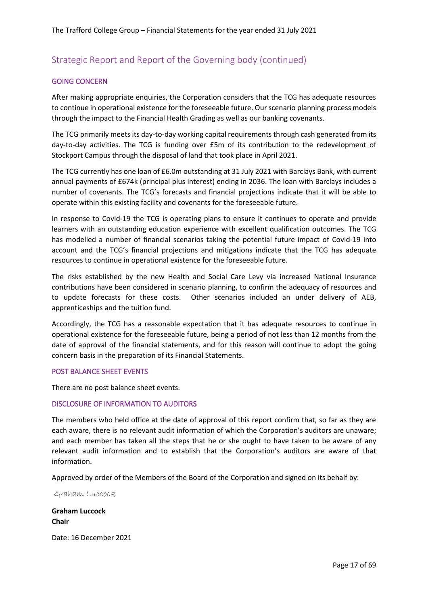#### GOING CONCERN

After making appropriate enquiries, the Corporation considers that the TCG has adequate resources to continue in operational existence for the foreseeable future. Our scenario planning process models through the impact to the Financial Health Grading as well as our banking covenants.

The TCG primarily meets its day-to-day working capital requirements through cash generated from its day-to-day activities. The TCG is funding over £5m of its contribution to the redevelopment of Stockport Campus through the disposal of land that took place in April 2021.

The TCG currently has one loan of £6.0m outstanding at 31 July 2021 with Barclays Bank, with current annual payments of £674k (principal plus interest) ending in 2036. The loan with Barclays includes a number of covenants. The TCG's forecasts and financial projections indicate that it will be able to operate within this existing facility and covenants for the foreseeable future.

In response to Covid-19 the TCG is operating plans to ensure it continues to operate and provide learners with an outstanding education experience with excellent qualification outcomes. The TCG has modelled a number of financial scenarios taking the potential future impact of Covid-19 into account and the TCG's financial projections and mitigations indicate that the TCG has adequate resources to continue in operational existence for the foreseeable future.

The risks established by the new Health and Social Care Levy via increased National Insurance contributions have been considered in scenario planning, to confirm the adequacy of resources and to update forecasts for these costs. Other scenarios included an under delivery of AEB, apprenticeships and the tuition fund.

Accordingly, the TCG has a reasonable expectation that it has adequate resources to continue in operational existence for the foreseeable future, being a period of not less than 12 months from the date of approval of the financial statements, and for this reason will continue to adopt the going concern basis in the preparation of its Financial Statements.

#### POST BALANCE SHEET EVENTS

There are no post balance sheet events.

#### DISCLOSURE OF INFORMATION TO AUDITORS

The members who held office at the date of approval of this report confirm that, so far as they are each aware, there is no relevant audit information of which the Corporation's auditors are unaware; and each member has taken all the steps that he or she ought to have taken to be aware of any relevant audit information and to establish that the Corporation's auditors are aware of that information.

Approved by order of the Members of the Board of the Corporation and signed on its behalf by:

Graham Luccock

**Graham Luccock Chair**

Date: 16 December 2021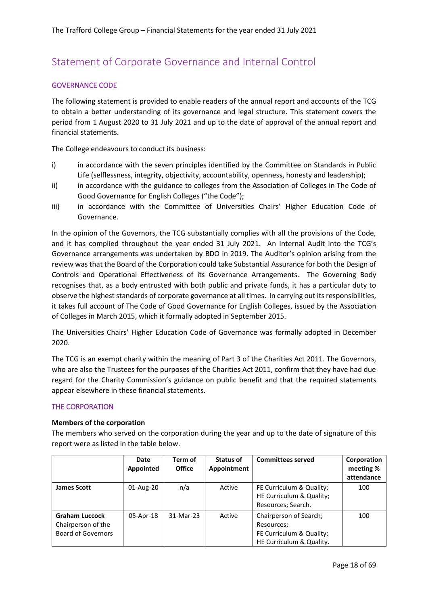# <span id="page-17-0"></span>Statement of Corporate Governance and Internal Control

#### GOVERNANCE CODE

The following statement is provided to enable readers of the annual report and accounts of the TCG to obtain a better understanding of its governance and legal structure. This statement covers the period from 1 August 2020 to 31 July 2021 and up to the date of approval of the annual report and financial statements.

The College endeavours to conduct its business:

- i) in accordance with the seven principles identified by the Committee on Standards in Public Life (selflessness, integrity, objectivity, accountability, openness, honesty and leadership);
- ii) in accordance with the guidance to colleges from the Association of Colleges in The Code of Good Governance for English Colleges ("the Code");
- iii) in accordance with the Committee of Universities Chairs' Higher Education Code of Governance.

In the opinion of the Governors, the TCG substantially complies with all the provisions of the Code, and it has complied throughout the year ended 31 July 2021. An Internal Audit into the TCG's Governance arrangements was undertaken by BDO in 2019. The Auditor's opinion arising from the review was that the Board of the Corporation could take Substantial Assurance for both the Design of Controls and Operational Effectiveness of its Governance Arrangements. The Governing Body recognises that, as a body entrusted with both public and private funds, it has a particular duty to observe the highest standards of corporate governance at all times. In carrying out its responsibilities, it takes full account of The Code of Good Governance for English Colleges, issued by the Association of Colleges in March 2015, which it formally adopted in September 2015.

The Universities Chairs' Higher Education Code of Governance was formally adopted in December 2020.

The TCG is an exempt charity within the meaning of Part 3 of the Charities Act 2011. The Governors, who are also the Trustees for the purposes of the Charities Act 2011, confirm that they have had due regard for the Charity Commission's guidance on public benefit and that the required statements appear elsewhere in these financial statements.

#### THE CORPORATION

#### **Members of the corporation**

The members who served on the corporation during the year and up to the date of signature of this report were as listed in the table below.

|                                                                          | Date<br>Appointed | Term of<br><b>Office</b> | Status of<br>Appointment | <b>Committees served</b>                                                                     | Corporation<br>meeting %<br>attendance |
|--------------------------------------------------------------------------|-------------------|--------------------------|--------------------------|----------------------------------------------------------------------------------------------|----------------------------------------|
| <b>James Scott</b>                                                       | 01-Aug-20         | n/a                      | Active                   | FE Curriculum & Quality;<br>HE Curriculum & Quality;<br>Resources; Search.                   | 100                                    |
| <b>Graham Luccock</b><br>Chairperson of the<br><b>Board of Governors</b> | 05-Apr-18         | 31-Mar-23                | Active                   | Chairperson of Search;<br>Resources;<br>FE Curriculum & Quality;<br>HE Curriculum & Quality. | 100                                    |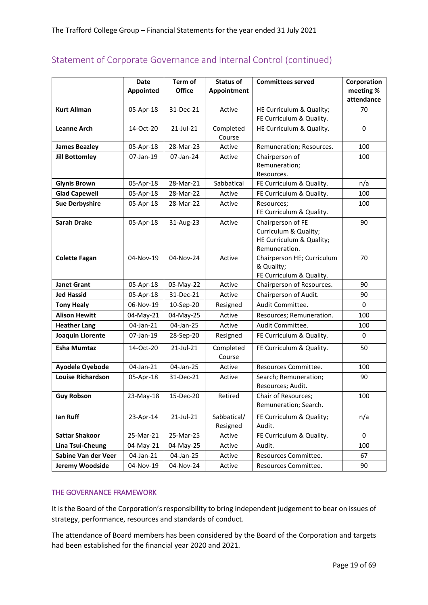|                          | Date<br><b>Appointed</b> | Term of<br><b>Office</b> | <b>Status of</b><br>Appointment | <b>Committees served</b>                                                                | Corporation<br>meeting %<br>attendance |
|--------------------------|--------------------------|--------------------------|---------------------------------|-----------------------------------------------------------------------------------------|----------------------------------------|
| <b>Kurt Allman</b>       | 05-Apr-18                | 31-Dec-21                | Active                          | HE Curriculum & Quality;<br>FE Curriculum & Quality.                                    | 70                                     |
| <b>Leanne Arch</b>       | 14-Oct-20                | 21-Jul-21                | Completed<br>Course             | HE Curriculum & Quality.                                                                | 0                                      |
| <b>James Beazley</b>     | 05-Apr-18                | 28-Mar-23                | Active                          | Remuneration; Resources.                                                                | 100                                    |
| <b>Jill Bottomley</b>    | 07-Jan-19                | 07-Jan-24                | Active                          | Chairperson of<br>Remuneration;<br>Resources.                                           | 100                                    |
| <b>Glynis Brown</b>      | 05-Apr-18                | 28-Mar-21                | Sabbatical                      | FE Curriculum & Quality.                                                                | n/a                                    |
| <b>Glad Capewell</b>     | 05-Apr-18                | 28-Mar-22                | Active                          | FE Curriculum & Quality.                                                                | 100                                    |
| <b>Sue Derbyshire</b>    | 05-Apr-18                | 28-Mar-22                | Active                          | Resources;<br>FE Curriculum & Quality.                                                  | 100                                    |
| <b>Sarah Drake</b>       | 05-Apr-18                | 31-Aug-23                | Active                          | Chairperson of FE<br>Curriculum & Quality;<br>HE Curriculum & Quality;<br>Remuneration. | 90                                     |
| <b>Colette Fagan</b>     | 04-Nov-19                | 04-Nov-24                | Active                          | Chairperson HE; Curriculum<br>& Quality;<br>FE Curriculum & Quality.                    | 70                                     |
| <b>Janet Grant</b>       | 05-Apr-18                | 05-May-22                | Active                          | Chairperson of Resources.                                                               | 90                                     |
| <b>Jed Hassid</b>        | 05-Apr-18                | 31-Dec-21                | Active                          | Chairperson of Audit.                                                                   | 90                                     |
| <b>Tony Healy</b>        | 06-Nov-19                | 10-Sep-20                | Resigned                        | Audit Committee.                                                                        | 0                                      |
| <b>Alison Hewitt</b>     | 04-May-21                | 04-May-25                | Active                          | Resources; Remuneration.                                                                | 100                                    |
| <b>Heather Lang</b>      | 04-Jan-21                | 04-Jan-25                | Active                          | Audit Committee.                                                                        | 100                                    |
| Joaquin Llorente         | 07-Jan-19                | 28-Sep-20                | Resigned                        | FE Curriculum & Quality.                                                                | 0                                      |
| <b>Esha Mumtaz</b>       | 14-Oct-20                | 21-Jul-21                | Completed<br>Course             | FE Curriculum & Quality.                                                                | 50                                     |
| <b>Ayodele Oyebode</b>   | 04-Jan-21                | 04-Jan-25                | Active                          | Resources Committee.                                                                    | 100                                    |
| <b>Louise Richardson</b> | 05-Apr-18                | 31-Dec-21                | Active                          | Search; Remuneration;<br>Resources; Audit.                                              | 90                                     |
| <b>Guy Robson</b>        | 23-May-18                | 15-Dec-20                | Retired                         | Chair of Resources;<br>Remuneration; Search.                                            | 100                                    |
| lan Ruff                 | 23-Apr-14                | 21-Jul-21                | Sabbatical/<br>Resigned         | FE Curriculum & Quality;<br>Audit.                                                      | n/a                                    |
| <b>Sattar Shakoor</b>    | 25-Mar-21                | 25-Mar-25                | Active                          | FE Curriculum & Quality.                                                                | 0                                      |
| Lina Tsui-Cheung         | 04-May-21                | 04-May-25                | Active                          | Audit.                                                                                  | 100                                    |
| Sabine Van der Veer      | 04-Jan-21                | 04-Jan-25                | Active                          | Resources Committee.                                                                    | 67                                     |
| Jeremy Woodside          | 04-Nov-19                | 04-Nov-24                | Active                          | Resources Committee.                                                                    | 90                                     |

#### THE GOVERNANCE FRAMEWORK

It is the Board of the Corporation's responsibility to bring independent judgement to bear on issues of strategy, performance, resources and standards of conduct.

The attendance of Board members has been considered by the Board of the Corporation and targets had been established for the financial year 2020 and 2021.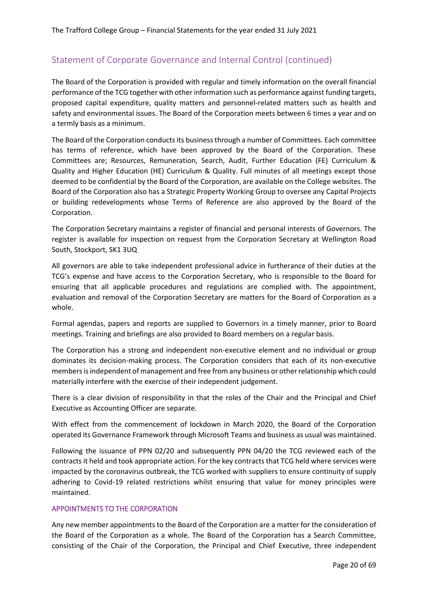The Board of the Corporation is provided with regular and timely information on the overall financial performance of the TCG together with other information such as performance against funding targets, proposed capital expenditure, quality matters and personnel-related matters such as health and safety and environmental issues. The Board of the Corporation meets between 6 times a year and on a termly basis as a minimum.

The Board of the Corporation conducts its business through a number of Committees. Each committee has terms of reference, which have been approved by the Board of the Corporation. These Committees are; Resources, Remuneration, Search, Audit, Further Education (FE) Curriculum & Quality and Higher Education (HE) Curriculum & Quality. Full minutes of all meetings except those deemed to be confidential by the Board of the Corporation, are available on the College websites. The Board of the Corporation also has a Strategic Property Working Group to oversee any Capital Projects or building redevelopments whose Terms of Reference are also approved by the Board of the Corporation.

The Corporation Secretary maintains a register of financial and personal interests of Governors. The register is available for inspection on request from the Corporation Secretary at Wellington Road South, Stockport, SK1 3UQ

All governors are able to take independent professional advice in furtherance of their duties at the TCG's expense and have access to the Corporation Secretary, who is responsible to the Board for ensuring that all applicable procedures and regulations are complied with. The appointment, evaluation and removal of the Corporation Secretary are matters for the Board of Corporation as a whole.

Formal agendas, papers and reports are supplied to Governors in a timely manner, prior to Board meetings. Training and briefings are also provided to Board members on a regular basis.

The Corporation has a strong and independent non-executive element and no individual or group dominates its decision-making process. The Corporation considers that each of its non-executive members is independent of management and free from any business or other relationship which could materially interfere with the exercise of their independent judgement.

There is a clear division of responsibility in that the roles of the Chair and the Principal and Chief Executive as Accounting Officer are separate.

With effect from the commencement of lockdown in March 2020, the Board of the Corporation operated its Governance Framework through Microsoft Teams and business as usual was maintained.

Following the issuance of PPN 02/20 and subsequently PPN 04/20 the TCG reviewed each of the contracts it held and took appropriate action. For the key contracts that TCG held where services were impacted by the coronavirus outbreak, the TCG worked with suppliers to ensure continuity of supply adhering to Covid-19 related restrictions whilst ensuring that value for money principles were maintained.

#### APPOINTMENTS TO THE CORPORATION

Any new member appointments to the Board of the Corporation are a matter for the consideration of the Board of the Corporation as a whole. The Board of the Corporation has a Search Committee, consisting of the Chair of the Corporation, the Principal and Chief Executive, three independent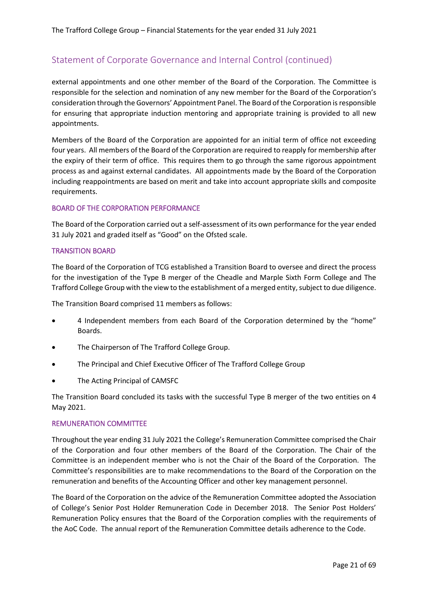external appointments and one other member of the Board of the Corporation. The Committee is responsible for the selection and nomination of any new member for the Board of the Corporation's consideration through the Governors' Appointment Panel. The Board of the Corporation is responsible for ensuring that appropriate induction mentoring and appropriate training is provided to all new appointments.

Members of the Board of the Corporation are appointed for an initial term of office not exceeding four years. All members of the Board of the Corporation are required to reapply for membership after the expiry of their term of office. This requires them to go through the same rigorous appointment process as and against external candidates. All appointments made by the Board of the Corporation including reappointments are based on merit and take into account appropriate skills and composite requirements.

#### BOARD OF THE CORPORATION PERFORMANCE

The Board of the Corporation carried out a self-assessment of its own performance for the year ended 31 July 2021 and graded itself as "Good" on the Ofsted scale.

#### TRANSITION BOARD

The Board of the Corporation of TCG established a Transition Board to oversee and direct the process for the investigation of the Type B merger of the Cheadle and Marple Sixth Form College and The Trafford College Group with the view to the establishment of a merged entity, subject to due diligence.

The Transition Board comprised 11 members as follows:

- 4 Independent members from each Board of the Corporation determined by the "home" Boards.
- The Chairperson of The Trafford College Group.
- The Principal and Chief Executive Officer of The Trafford College Group
- The Acting Principal of CAMSFC

The Transition Board concluded its tasks with the successful Type B merger of the two entities on 4 May 2021.

#### REMUNERATION COMMITTEE

Throughout the year ending 31 July 2021 the College's Remuneration Committee comprised the Chair of the Corporation and four other members of the Board of the Corporation. The Chair of the Committee is an independent member who is not the Chair of the Board of the Corporation. The Committee's responsibilities are to make recommendations to the Board of the Corporation on the remuneration and benefits of the Accounting Officer and other key management personnel.

The Board of the Corporation on the advice of the Remuneration Committee adopted the Association of College's Senior Post Holder Remuneration Code in December 2018. The Senior Post Holders' Remuneration Policy ensures that the Board of the Corporation complies with the requirements of the AoC Code. The annual report of the Remuneration Committee details adherence to the Code.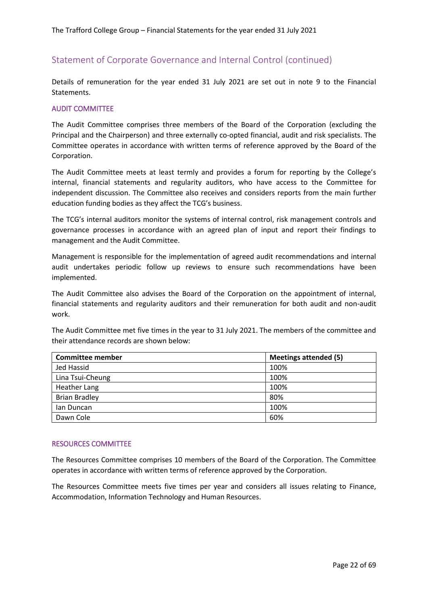Details of remuneration for the year ended 31 July 2021 are set out in note 9 to the Financial Statements.

#### AUDIT COMMITTEE

The Audit Committee comprises three members of the Board of the Corporation (excluding the Principal and the Chairperson) and three externally co-opted financial, audit and risk specialists. The Committee operates in accordance with written terms of reference approved by the Board of the Corporation.

The Audit Committee meets at least termly and provides a forum for reporting by the College's internal, financial statements and regularity auditors, who have access to the Committee for independent discussion. The Committee also receives and considers reports from the main further education funding bodies as they affect the TCG's business.

The TCG's internal auditors monitor the systems of internal control, risk management controls and governance processes in accordance with an agreed plan of input and report their findings to management and the Audit Committee.

Management is responsible for the implementation of agreed audit recommendations and internal audit undertakes periodic follow up reviews to ensure such recommendations have been implemented.

The Audit Committee also advises the Board of the Corporation on the appointment of internal, financial statements and regularity auditors and their remuneration for both audit and non-audit work.

The Audit Committee met five times in the year to 31 July 2021. The members of the committee and their attendance records are shown below:

| <b>Committee member</b> | <b>Meetings attended (5)</b> |
|-------------------------|------------------------------|
| Jed Hassid              | 100%                         |
| Lina Tsui-Cheung        | 100%                         |
| Heather Lang            | 100%                         |
| <b>Brian Bradley</b>    | 80%                          |
| lan Duncan              | 100%                         |
| Dawn Cole               | 60%                          |

#### RESOURCES COMMITTEE

The Resources Committee comprises 10 members of the Board of the Corporation. The Committee operates in accordance with written terms of reference approved by the Corporation.

The Resources Committee meets five times per year and considers all issues relating to Finance, Accommodation, Information Technology and Human Resources.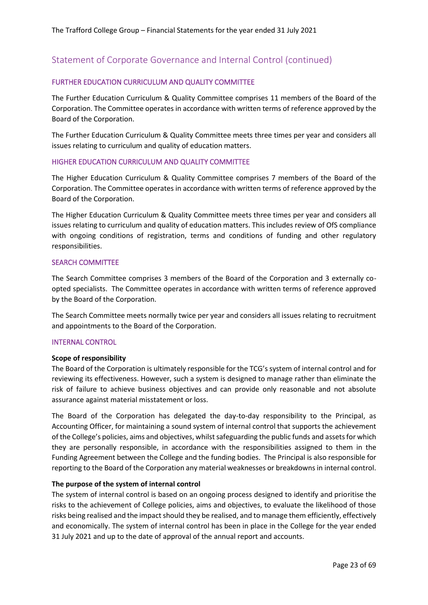#### FURTHER EDUCATION CURRICULUM AND QUALITY COMMITTEE

The Further Education Curriculum & Quality Committee comprises 11 members of the Board of the Corporation. The Committee operates in accordance with written terms of reference approved by the Board of the Corporation.

The Further Education Curriculum & Quality Committee meets three times per year and considers all issues relating to curriculum and quality of education matters.

#### HIGHER EDUCATION CURRICULUM AND QUALITY COMMITTEE

The Higher Education Curriculum & Quality Committee comprises 7 members of the Board of the Corporation. The Committee operates in accordance with written terms of reference approved by the Board of the Corporation.

The Higher Education Curriculum & Quality Committee meets three times per year and considers all issues relating to curriculum and quality of education matters. This includes review of OfS compliance with ongoing conditions of registration, terms and conditions of funding and other regulatory responsibilities.

#### SEARCH COMMITTEE

The Search Committee comprises 3 members of the Board of the Corporation and 3 externally coopted specialists. The Committee operates in accordance with written terms of reference approved by the Board of the Corporation.

The Search Committee meets normally twice per year and considers all issues relating to recruitment and appointments to the Board of the Corporation.

#### INTERNAL CONTROL

#### **Scope of responsibility**

The Board of the Corporation is ultimately responsible for the TCG's system of internal control and for reviewing its effectiveness. However, such a system is designed to manage rather than eliminate the risk of failure to achieve business objectives and can provide only reasonable and not absolute assurance against material misstatement or loss.

The Board of the Corporation has delegated the day-to-day responsibility to the Principal, as Accounting Officer, for maintaining a sound system of internal control that supports the achievement of the College's policies, aims and objectives, whilst safeguarding the public funds and assets for which they are personally responsible, in accordance with the responsibilities assigned to them in the Funding Agreement between the College and the funding bodies. The Principal is also responsible for reporting to the Board of the Corporation any material weaknesses or breakdowns in internal control.

#### **The purpose of the system of internal control**

The system of internal control is based on an ongoing process designed to identify and prioritise the risks to the achievement of College policies, aims and objectives, to evaluate the likelihood of those risks being realised and the impact should they be realised, and to manage them efficiently, effectively and economically. The system of internal control has been in place in the College for the year ended 31 July 2021 and up to the date of approval of the annual report and accounts.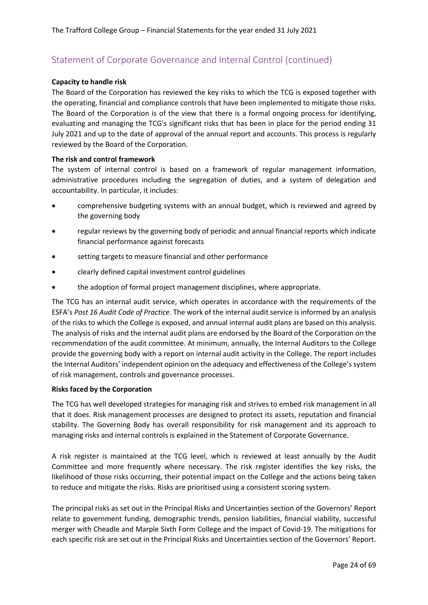#### **Capacity to handle risk**

The Board of the Corporation has reviewed the key risks to which the TCG is exposed together with the operating, financial and compliance controls that have been implemented to mitigate those risks. The Board of the Corporation is of the view that there is a formal ongoing process for identifying, evaluating and managing the TCG's significant risks that has been in place for the period ending 31 July 2021 and up to the date of approval of the annual report and accounts. This process is regularly reviewed by the Board of the Corporation.

#### **The risk and control framework**

The system of internal control is based on a framework of regular management information, administrative procedures including the segregation of duties, and a system of delegation and accountability. In particular, it includes:

- comprehensive budgeting systems with an annual budget, which is reviewed and agreed by the governing body
- regular reviews by the governing body of periodic and annual financial reports which indicate financial performance against forecasts
- setting targets to measure financial and other performance
- clearly defined capital investment control guidelines
- the adoption of formal project management disciplines, where appropriate.

The TCG has an internal audit service, which operates in accordance with the requirements of the ESFA's *Post 16 Audit Code of Practice*. The work of the internal audit service is informed by an analysis of the risks to which the College is exposed, and annual internal audit plans are based on this analysis. The analysis of risks and the internal audit plans are endorsed by the Board of the Corporation on the recommendation of the audit committee. At minimum, annually, the Internal Auditors to the College provide the governing body with a report on internal audit activity in the College. The report includes the Internal Auditors' independent opinion on the adequacy and effectiveness of the College's system of risk management, controls and governance processes.

#### **Risks faced by the Corporation**

The TCG has well developed strategies for managing risk and strives to embed risk management in all that it does. Risk management processes are designed to protect its assets, reputation and financial stability. The Governing Body has overall responsibility for risk management and its approach to managing risks and internal controls is explained in the Statement of Corporate Governance.

A risk register is maintained at the TCG level, which is reviewed at least annually by the Audit Committee and more frequently where necessary. The risk register identifies the key risks, the likelihood of those risks occurring, their potential impact on the College and the actions being taken to reduce and mitigate the risks. Risks are prioritised using a consistent scoring system.

The principal risks as set out in the Principal Risks and Uncertainties section of the Governors' Report relate to government funding, demographic trends, pension liabilities, financial viability, successful merger with Cheadle and Marple Sixth Form College and the impact of Covid-19. The mitigations for each specific risk are set out in the Principal Risks and Uncertainties section of the Governors' Report.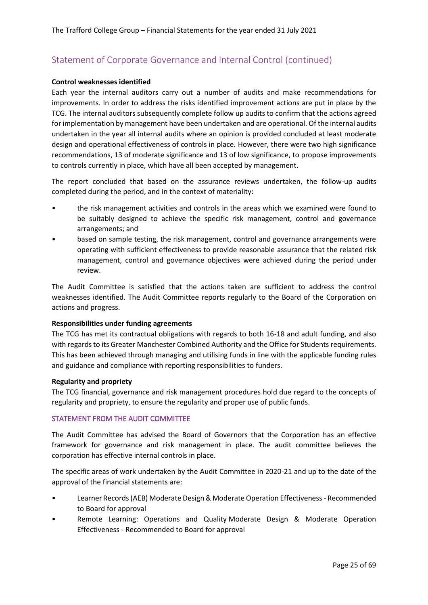#### **Control weaknesses identified**

Each year the internal auditors carry out a number of audits and make recommendations for improvements. In order to address the risks identified improvement actions are put in place by the TCG. The internal auditors subsequently complete follow up audits to confirm that the actions agreed for implementation by management have been undertaken and are operational. Of the internal audits undertaken in the year all internal audits where an opinion is provided concluded at least moderate design and operational effectiveness of controls in place. However, there were two high significance recommendations, 13 of moderate significance and 13 of low significance, to propose improvements to controls currently in place, which have all been accepted by management.

The report concluded that based on the assurance reviews undertaken, the follow-up audits completed during the period, and in the context of materiality:

- the risk management activities and controls in the areas which we examined were found to be suitably designed to achieve the specific risk management, control and governance arrangements; and
- based on sample testing, the risk management, control and governance arrangements were operating with sufficient effectiveness to provide reasonable assurance that the related risk management, control and governance objectives were achieved during the period under review.

The Audit Committee is satisfied that the actions taken are sufficient to address the control weaknesses identified. The Audit Committee reports regularly to the Board of the Corporation on actions and progress.

#### **Responsibilities under funding agreements**

The TCG has met its contractual obligations with regards to both 16-18 and adult funding, and also with regards to its Greater Manchester Combined Authority and the Office for Students requirements. This has been achieved through managing and utilising funds in line with the applicable funding rules and guidance and compliance with reporting responsibilities to funders.

#### **Regularity and propriety**

The TCG financial, governance and risk management procedures hold due regard to the concepts of regularity and propriety, to ensure the regularity and proper use of public funds.

#### STATEMENT FROM THE AUDIT COMMITTEE

The Audit Committee has advised the Board of Governors that the Corporation has an effective framework for governance and risk management in place. The audit committee believes the corporation has effective internal controls in place.

The specific areas of work undertaken by the Audit Committee in 2020-21 and up to the date of the approval of the financial statements are:

- Learner Records (AEB) Moderate Design & Moderate Operation Effectiveness Recommended to Board for approval
- Remote Learning: Operations and Quality Moderate Design & Moderate Operation Effectiveness - Recommended to Board for approval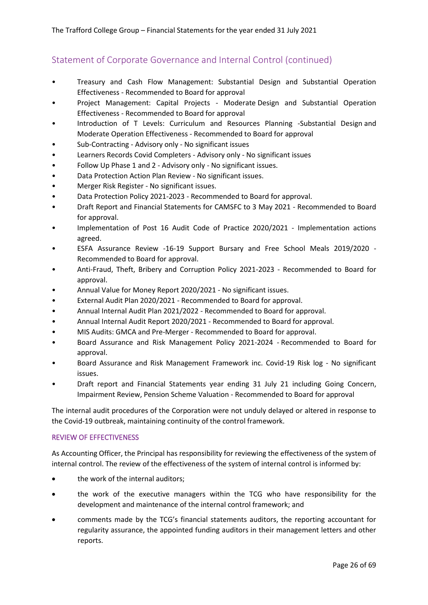- Treasury and Cash Flow Management: Substantial Design and Substantial Operation Effectiveness - Recommended to Board for approval
- Project Management: Capital Projects Moderate Design and Substantial Operation Effectiveness - Recommended to Board for approval
- Introduction of T Levels: Curriculum and Resources Planning -Substantial Design and Moderate Operation Effectiveness - Recommended to Board for approval
- Sub-Contracting Advisory only No significant issues
- Learners Records Covid Completers Advisory only No significant issues
- Follow Up Phase 1 and 2 Advisory only No significant issues.
- Data Protection Action Plan Review No significant issues.
- Merger Risk Register No significant issues.
- Data Protection Policy 2021-2023 Recommended to Board for approval.
- Draft Report and Financial Statements for CAMSFC to 3 May 2021 Recommended to Board for approval.
- Implementation of Post 16 Audit Code of Practice 2020/2021 Implementation actions agreed.
- ESFA Assurance Review -16-19 Support Bursary and Free School Meals 2019/2020 Recommended to Board for approval.
- Anti-Fraud, Theft, Bribery and Corruption Policy 2021-2023 Recommended to Board for approval.
- Annual Value for Money Report 2020/2021 No significant issues.
- External Audit Plan 2020/2021 Recommended to Board for approval.
- Annual Internal Audit Plan 2021/2022 Recommended to Board for approval.
- Annual Internal Audit Report 2020/2021 Recommended to Board for approval.
- MIS Audits: GMCA and Pre-Merger Recommended to Board for approval.
- Board Assurance and Risk Management Policy 2021-2024 Recommended to Board for approval.
- Board Assurance and Risk Management Framework inc. Covid-19 Risk log No significant issues.
- Draft report and Financial Statements year ending 31 July 21 including Going Concern, Impairment Review, Pension Scheme Valuation - Recommended to Board for approval

The internal audit procedures of the Corporation were not unduly delayed or altered in response to the Covid-19 outbreak, maintaining continuity of the control framework.

#### REVIEW OF EFFECTIVENESS

As Accounting Officer, the Principal has responsibility for reviewing the effectiveness of the system of internal control. The review of the effectiveness of the system of internal control is informed by:

- the work of the internal auditors;
- the work of the executive managers within the TCG who have responsibility for the development and maintenance of the internal control framework; and
- comments made by the TCG's financial statements auditors, the reporting accountant for regularity assurance, the appointed funding auditors in their management letters and other reports.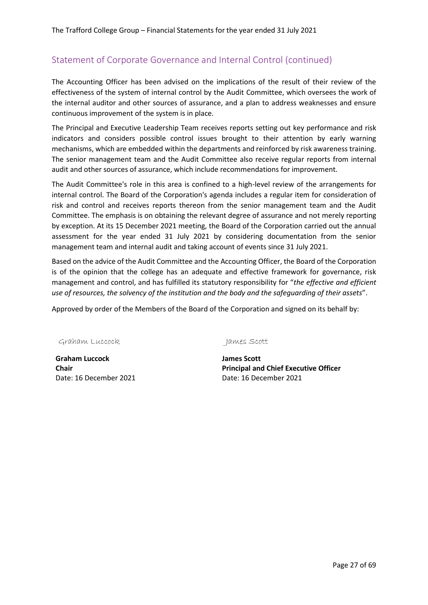The Accounting Officer has been advised on the implications of the result of their review of the effectiveness of the system of internal control by the Audit Committee, which oversees the work of the internal auditor and other sources of assurance, and a plan to address weaknesses and ensure continuous improvement of the system is in place.

The Principal and Executive Leadership Team receives reports setting out key performance and risk indicators and considers possible control issues brought to their attention by early warning mechanisms, which are embedded within the departments and reinforced by risk awareness training. The senior management team and the Audit Committee also receive regular reports from internal audit and other sources of assurance, which include recommendations for improvement.

The Audit Committee's role in this area is confined to a high-level review of the arrangements for internal control. The Board of the Corporation's agenda includes a regular item for consideration of risk and control and receives reports thereon from the senior management team and the Audit Committee. The emphasis is on obtaining the relevant degree of assurance and not merely reporting by exception. At its 15 December 2021 meeting, the Board of the Corporation carried out the annual assessment for the year ended 31 July 2021 by considering documentation from the senior management team and internal audit and taking account of events since 31 July 2021.

Based on the advice of the Audit Committee and the Accounting Officer, the Board of the Corporation is of the opinion that the college has an adequate and effective framework for governance, risk management and control, and has fulfilled its statutory responsibility for "*the effective and efficient use of resources, the solvency of the institution and the body and the safeguarding of their assets*".

Approved by order of the Members of the Board of the Corporation and signed on its behalf by:

Graham Luccock James Scott

**Graham Luccock Chair** Date: 16 December 2021 Date: 16 December 2021

**James Scott Principal and Chief Executive Officer**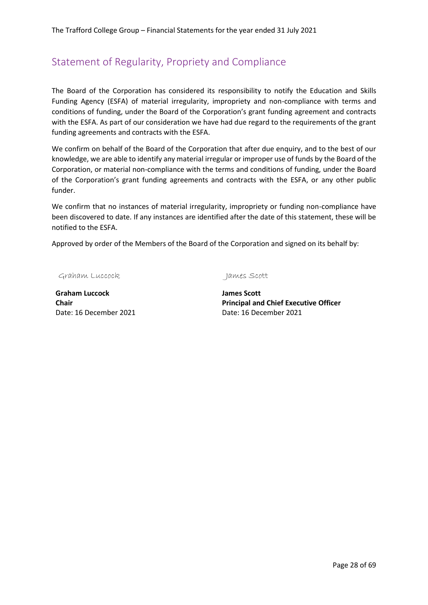## <span id="page-27-0"></span>Statement of Regularity, Propriety and Compliance

The Board of the Corporation has considered its responsibility to notify the Education and Skills Funding Agency (ESFA) of material irregularity, impropriety and non-compliance with terms and conditions of funding, under the Board of the Corporation's grant funding agreement and contracts with the ESFA. As part of our consideration we have had due regard to the requirements of the grant funding agreements and contracts with the ESFA.

We confirm on behalf of the Board of the Corporation that after due enquiry, and to the best of our knowledge, we are able to identify any material irregular or improper use of funds by the Board of the Corporation, or material non-compliance with the terms and conditions of funding, under the Board of the Corporation's grant funding agreements and contracts with the ESFA, or any other public funder.

We confirm that no instances of material irregularity, impropriety or funding non-compliance have been discovered to date. If any instances are identified after the date of this statement, these will be notified to the ESFA.

Approved by order of the Members of the Board of the Corporation and signed on its behalf by:

Graham Luccock James Scott

**Graham Luccock Chair** Date: 16 December 2021 Date: 16 December 2021

**James Scott Principal and Chief Executive Officer**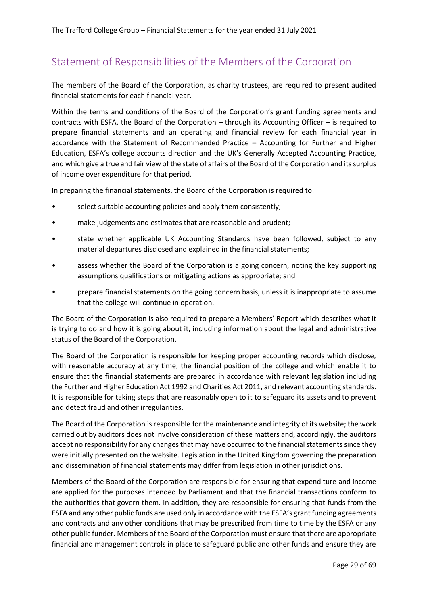## <span id="page-28-0"></span>Statement of Responsibilities of the Members of the Corporation

The members of the Board of the Corporation, as charity trustees, are required to present audited financial statements for each financial year.

Within the terms and conditions of the Board of the Corporation's grant funding agreements and contracts with ESFA, the Board of the Corporation – through its Accounting Officer – is required to prepare financial statements and an operating and financial review for each financial year in accordance with the Statement of Recommended Practice – Accounting for Further and Higher Education, ESFA's college accounts direction and the UK's Generally Accepted Accounting Practice, and which give a true and fair view of the state of affairs of the Board of the Corporation and its surplus of income over expenditure for that period.

In preparing the financial statements, the Board of the Corporation is required to:

- select suitable accounting policies and apply them consistently;
- make judgements and estimates that are reasonable and prudent;
- state whether applicable UK Accounting Standards have been followed, subject to any material departures disclosed and explained in the financial statements;
- assess whether the Board of the Corporation is a going concern, noting the key supporting assumptions qualifications or mitigating actions as appropriate; and
- prepare financial statements on the going concern basis, unless it is inappropriate to assume that the college will continue in operation.

The Board of the Corporation is also required to prepare a Members' Report which describes what it is trying to do and how it is going about it, including information about the legal and administrative status of the Board of the Corporation.

The Board of the Corporation is responsible for keeping proper accounting records which disclose, with reasonable accuracy at any time, the financial position of the college and which enable it to ensure that the financial statements are prepared in accordance with relevant legislation including the Further and Higher Education Act 1992 and Charities Act 2011, and relevant accounting standards. It is responsible for taking steps that are reasonably open to it to safeguard its assets and to prevent and detect fraud and other irregularities.

The Board of the Corporation is responsible for the maintenance and integrity of its website; the work carried out by auditors does not involve consideration of these matters and, accordingly, the auditors accept no responsibility for any changes that may have occurred to the financial statements since they were initially presented on the website. Legislation in the United Kingdom governing the preparation and dissemination of financial statements may differ from legislation in other jurisdictions.

Members of the Board of the Corporation are responsible for ensuring that expenditure and income are applied for the purposes intended by Parliament and that the financial transactions conform to the authorities that govern them. In addition, they are responsible for ensuring that funds from the ESFA and any other public funds are used only in accordance with the ESFA's grant funding agreements and contracts and any other conditions that may be prescribed from time to time by the ESFA or any other public funder. Members of the Board of the Corporation must ensure that there are appropriate financial and management controls in place to safeguard public and other funds and ensure they are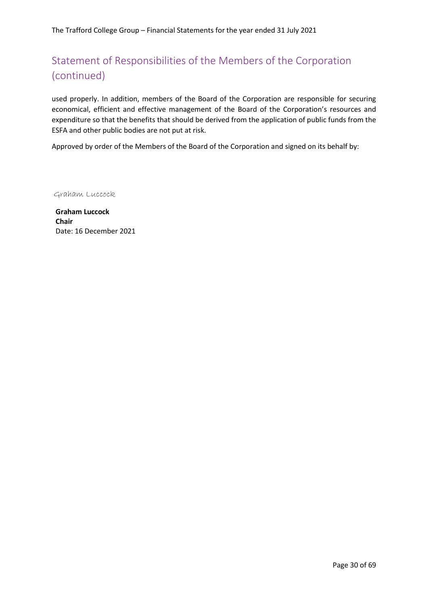# Statement of Responsibilities of the Members of the Corporation (continued)

used properly. In addition, members of the Board of the Corporation are responsible for securing economical, efficient and effective management of the Board of the Corporation's resources and expenditure so that the benefits that should be derived from the application of public funds from the ESFA and other public bodies are not put at risk.

Approved by order of the Members of the Board of the Corporation and signed on its behalf by:

Graham Luccock

**Graham Luccock Chair** Date: 16 December 2021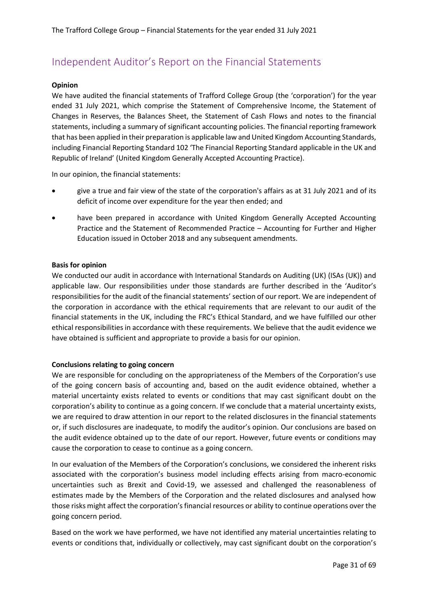#### <span id="page-30-0"></span>**Opinion**

We have audited the financial statements of Trafford College Group (the 'corporation') for the year ended 31 July 2021, which comprise the Statement of Comprehensive Income, the Statement of Changes in Reserves, the Balances Sheet, the Statement of Cash Flows and notes to the financial statements, including a summary of significant accounting policies. The financial reporting framework that has been applied in their preparation is applicable law and United Kingdom Accounting Standards, including Financial Reporting Standard 102 'The Financial Reporting Standard applicable in the UK and Republic of Ireland' (United Kingdom Generally Accepted Accounting Practice).

In our opinion, the financial statements:

- give a true and fair view of the state of the corporation's affairs as at 31 July 2021 and of its deficit of income over expenditure for the year then ended; and
- have been prepared in accordance with United Kingdom Generally Accepted Accounting Practice and the Statement of Recommended Practice – Accounting for Further and Higher Education issued in October 2018 and any subsequent amendments.

#### **Basis for opinion**

We conducted our audit in accordance with International Standards on Auditing (UK) (ISAs (UK)) and applicable law. Our responsibilities under those standards are further described in the 'Auditor's responsibilities for the audit of the financial statements' section of our report. We are independent of the corporation in accordance with the ethical requirements that are relevant to our audit of the financial statements in the UK, including the FRC's Ethical Standard, and we have fulfilled our other ethical responsibilities in accordance with these requirements. We believe that the audit evidence we have obtained is sufficient and appropriate to provide a basis for our opinion.

#### **Conclusions relating to going concern**

We are responsible for concluding on the appropriateness of the Members of the Corporation's use of the going concern basis of accounting and, based on the audit evidence obtained, whether a material uncertainty exists related to events or conditions that may cast significant doubt on the corporation's ability to continue as a going concern. If we conclude that a material uncertainty exists, we are required to draw attention in our report to the related disclosures in the financial statements or, if such disclosures are inadequate, to modify the auditor's opinion. Our conclusions are based on the audit evidence obtained up to the date of our report. However, future events or conditions may cause the corporation to cease to continue as a going concern.

In our evaluation of the Members of the Corporation's conclusions, we considered the inherent risks associated with the corporation's business model including effects arising from macro-economic uncertainties such as Brexit and Covid-19, we assessed and challenged the reasonableness of estimates made by the Members of the Corporation and the related disclosures and analysed how those risks might affect the corporation's financial resources or ability to continue operations over the going concern period.

Based on the work we have performed, we have not identified any material uncertainties relating to events or conditions that, individually or collectively, may cast significant doubt on the corporation's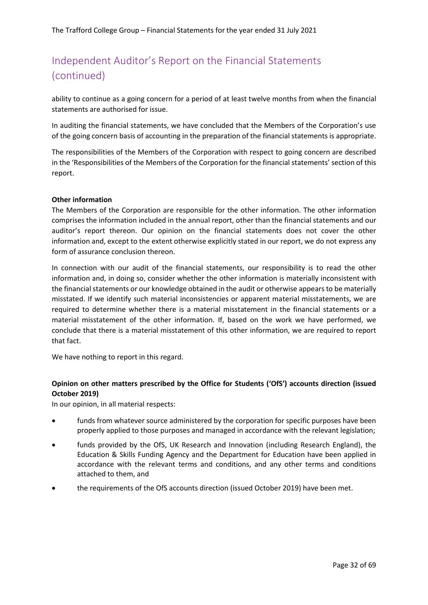ability to continue as a going concern for a period of at least twelve months from when the financial statements are authorised for issue.

In auditing the financial statements, we have concluded that the Members of the Corporation's use of the going concern basis of accounting in the preparation of the financial statements is appropriate.

The responsibilities of the Members of the Corporation with respect to going concern are described in the 'Responsibilities of the Members of the Corporation for the financial statements' section of this report.

#### **Other information**

The Members of the Corporation are responsible for the other information. The other information comprises the information included in the annual report, other than the financial statements and our auditor's report thereon. Our opinion on the financial statements does not cover the other information and, except to the extent otherwise explicitly stated in our report, we do not express any form of assurance conclusion thereon.

In connection with our audit of the financial statements, our responsibility is to read the other information and, in doing so, consider whether the other information is materially inconsistent with the financial statements or our knowledge obtained in the audit or otherwise appears to be materially misstated. If we identify such material inconsistencies or apparent material misstatements, we are required to determine whether there is a material misstatement in the financial statements or a material misstatement of the other information. If, based on the work we have performed, we conclude that there is a material misstatement of this other information, we are required to report that fact.

We have nothing to report in this regard.

### **Opinion on other matters prescribed by the Office for Students ('OfS') accounts direction (issued October 2019)**

In our opinion, in all material respects:

- funds from whatever source administered by the corporation for specific purposes have been properly applied to those purposes and managed in accordance with the relevant legislation;
- funds provided by the OfS, UK Research and Innovation (including Research England), the Education & Skills Funding Agency and the Department for Education have been applied in accordance with the relevant terms and conditions, and any other terms and conditions attached to them, and
- the requirements of the OfS accounts direction (issued October 2019) have been met.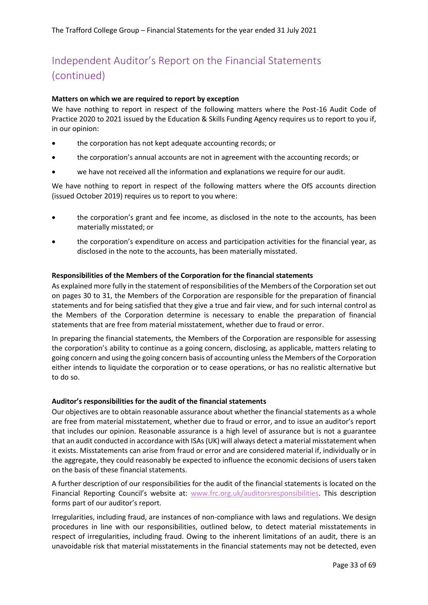#### **Matters on which we are required to report by exception**

We have nothing to report in respect of the following matters where the Post-16 Audit Code of Practice 2020 to 2021 issued by the Education & Skills Funding Agency requires us to report to you if, in our opinion:

- the corporation has not kept adequate accounting records; or
- the corporation's annual accounts are not in agreement with the accounting records; or
- we have not received all the information and explanations we require for our audit.

We have nothing to report in respect of the following matters where the OfS accounts direction (issued October 2019) requires us to report to you where:

- the corporation's grant and fee income, as disclosed in the note to the accounts, has been materially misstated; or
- the corporation's expenditure on access and participation activities for the financial year, as disclosed in the note to the accounts, has been materially misstated.

#### **Responsibilities of the Members of the Corporation for the financial statements**

As explained more fully in the statement of responsibilities of the Members of the Corporation set out on pages 30 to 31, the Members of the Corporation are responsible for the preparation of financial statements and for being satisfied that they give a true and fair view, and for such internal control as the Members of the Corporation determine is necessary to enable the preparation of financial statements that are free from material misstatement, whether due to fraud or error.

In preparing the financial statements, the Members of the Corporation are responsible for assessing the corporation's ability to continue as a going concern, disclosing, as applicable, matters relating to going concern and using the going concern basis of accounting unless the Members of the Corporation either intends to liquidate the corporation or to cease operations, or has no realistic alternative but to do so.

#### **Auditor's responsibilities for the audit of the financial statements**

Our objectives are to obtain reasonable assurance about whether the financial statements as a whole are free from material misstatement, whether due to fraud or error, and to issue an auditor's report that includes our opinion. Reasonable assurance is a high level of assurance but is not a guarantee that an audit conducted in accordance with ISAs (UK) will always detect a material misstatement when it exists. Misstatements can arise from fraud or error and are considered material if, individually or in the aggregate, they could reasonably be expected to influence the economic decisions of users taken on the basis of these financial statements.

A further description of our responsibilities for the audit of the financial statements is located on the Financial Reporting Council's website at: [www.frc.org.uk/auditorsresponsibilities.](http://www.frc.org.uk/auditorsresponsibilities) This description forms part of our auditor's report.

Irregularities, including fraud, are instances of non-compliance with laws and regulations. We design procedures in line with our responsibilities, outlined below, to detect material misstatements in respect of irregularities, including fraud. Owing to the inherent limitations of an audit, there is an unavoidable risk that material misstatements in the financial statements may not be detected, even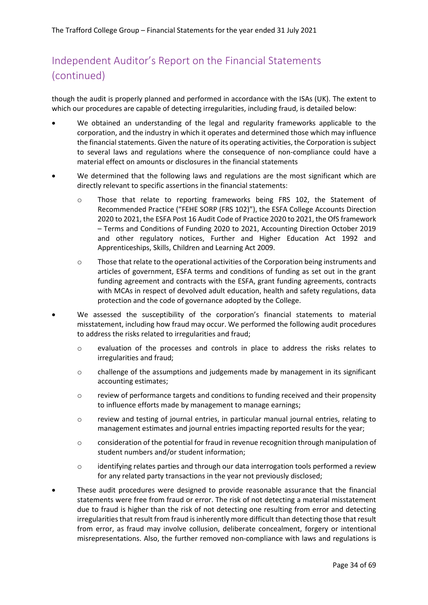though the audit is properly planned and performed in accordance with the ISAs (UK). The extent to which our procedures are capable of detecting irregularities, including fraud, is detailed below:

- We obtained an understanding of the legal and regularity frameworks applicable to the corporation, and the industry in which it operates and determined those which may influence the financial statements. Given the nature of its operating activities, the Corporation is subject to several laws and regulations where the consequence of non-compliance could have a material effect on amounts or disclosures in the financial statements
- We determined that the following laws and regulations are the most significant which are directly relevant to specific assertions in the financial statements:
	- o Those that relate to reporting frameworks being FRS 102, the Statement of Recommended Practice ("FEHE SORP (FRS 102)"), the ESFA College Accounts Direction 2020 to 2021, the ESFA Post 16 Audit Code of Practice 2020 to 2021, the OfS framework – Terms and Conditions of Funding 2020 to 2021, Accounting Direction October 2019 and other regulatory notices, Further and Higher Education Act 1992 and Apprenticeships, Skills, Children and Learning Act 2009.
	- o Those that relate to the operational activities of the Corporation being instruments and articles of government, ESFA terms and conditions of funding as set out in the grant funding agreement and contracts with the ESFA, grant funding agreements, contracts with MCAs in respect of devolved adult education, health and safety regulations, data protection and the code of governance adopted by the College.
- We assessed the susceptibility of the corporation's financial statements to material misstatement, including how fraud may occur. We performed the following audit procedures to address the risks related to irregularities and fraud;
	- o evaluation of the processes and controls in place to address the risks relates to irregularities and fraud;
	- o challenge of the assumptions and judgements made by management in its significant accounting estimates;
	- o review of performance targets and conditions to funding received and their propensity to influence efforts made by management to manage earnings;
	- o review and testing of journal entries, in particular manual journal entries, relating to management estimates and journal entries impacting reported results for the year;
	- $\circ$  consideration of the potential for fraud in revenue recognition through manipulation of student numbers and/or student information;
	- $\circ$  identifying relates parties and through our data interrogation tools performed a review for any related party transactions in the year not previously disclosed;
- These audit procedures were designed to provide reasonable assurance that the financial statements were free from fraud or error. The risk of not detecting a material misstatement due to fraud is higher than the risk of not detecting one resulting from error and detecting irregularities that result from fraud is inherently more difficult than detecting those that result from error, as fraud may involve collusion, deliberate concealment, forgery or intentional misrepresentations. Also, the further removed non-compliance with laws and regulations is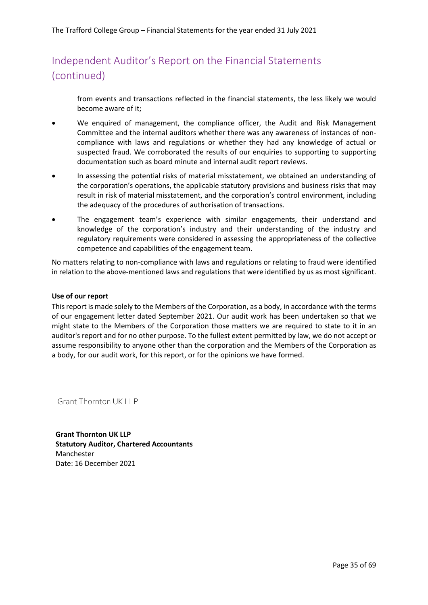from events and transactions reflected in the financial statements, the less likely we would become aware of it;

- We enquired of management, the compliance officer, the Audit and Risk Management Committee and the internal auditors whether there was any awareness of instances of noncompliance with laws and regulations or whether they had any knowledge of actual or suspected fraud. We corroborated the results of our enquiries to supporting to supporting documentation such as board minute and internal audit report reviews.
- In assessing the potential risks of material misstatement, we obtained an understanding of the corporation's operations, the applicable statutory provisions and business risks that may result in risk of material misstatement, and the corporation's control environment, including the adequacy of the procedures of authorisation of transactions.
- The engagement team's experience with similar engagements, their understand and knowledge of the corporation's industry and their understanding of the industry and regulatory requirements were considered in assessing the appropriateness of the collective competence and capabilities of the engagement team.

No matters relating to non-compliance with laws and regulations or relating to fraud were identified in relation to the above-mentioned laws and regulations that were identified by us as most significant.

#### **Use of our report**

This report is made solely to the Members of the Corporation, as a body, in accordance with the terms of our engagement letter dated September 2021. Our audit work has been undertaken so that we might state to the Members of the Corporation those matters we are required to state to it in an auditor's report and for no other purpose. To the fullest extent permitted by law, we do not accept or assume responsibility to anyone other than the corporation and the Members of the Corporation as a body, for our audit work, for this report, or for the opinions we have formed.

Grant Thornton UK LLP

**Grant Thornton UK LLP Statutory Auditor, Chartered Accountants** Manchester Date: 16 December 2021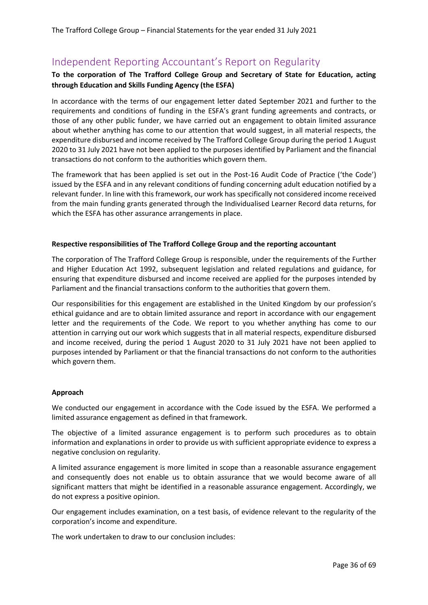# <span id="page-35-0"></span>Independent Reporting Accountant's Report on Regularity

#### **To the corporation of The Trafford College Group and Secretary of State for Education, acting through Education and Skills Funding Agency (the ESFA)**

In accordance with the terms of our engagement letter dated September 2021 and further to the requirements and conditions of funding in the ESFA's grant funding agreements and contracts, or those of any other public funder, we have carried out an engagement to obtain limited assurance about whether anything has come to our attention that would suggest, in all material respects, the expenditure disbursed and income received by The Trafford College Group during the period 1 August 2020 to 31 July 2021 have not been applied to the purposes identified by Parliament and the financial transactions do not conform to the authorities which govern them.

The framework that has been applied is set out in the Post-16 Audit Code of Practice ('the Code') issued by the ESFA and in any relevant conditions of funding concerning adult education notified by a relevant funder. In line with this framework, our work has specifically not considered income received from the main funding grants generated through the Individualised Learner Record data returns, for which the ESFA has other assurance arrangements in place.

#### **Respective responsibilities of The Trafford College Group and the reporting accountant**

The corporation of The Trafford College Group is responsible, under the requirements of the Further and Higher Education Act 1992, subsequent legislation and related regulations and guidance, for ensuring that expenditure disbursed and income received are applied for the purposes intended by Parliament and the financial transactions conform to the authorities that govern them.

Our responsibilities for this engagement are established in the United Kingdom by our profession's ethical guidance and are to obtain limited assurance and report in accordance with our engagement letter and the requirements of the Code. We report to you whether anything has come to our attention in carrying out our work which suggests that in all material respects, expenditure disbursed and income received, during the period 1 August 2020 to 31 July 2021 have not been applied to purposes intended by Parliament or that the financial transactions do not conform to the authorities which govern them.

#### **Approach**

We conducted our engagement in accordance with the Code issued by the ESFA. We performed a limited assurance engagement as defined in that framework.

The objective of a limited assurance engagement is to perform such procedures as to obtain information and explanations in order to provide us with sufficient appropriate evidence to express a negative conclusion on regularity.

A limited assurance engagement is more limited in scope than a reasonable assurance engagement and consequently does not enable us to obtain assurance that we would become aware of all significant matters that might be identified in a reasonable assurance engagement. Accordingly, we do not express a positive opinion.

Our engagement includes examination, on a test basis, of evidence relevant to the regularity of the corporation's income and expenditure.

The work undertaken to draw to our conclusion includes: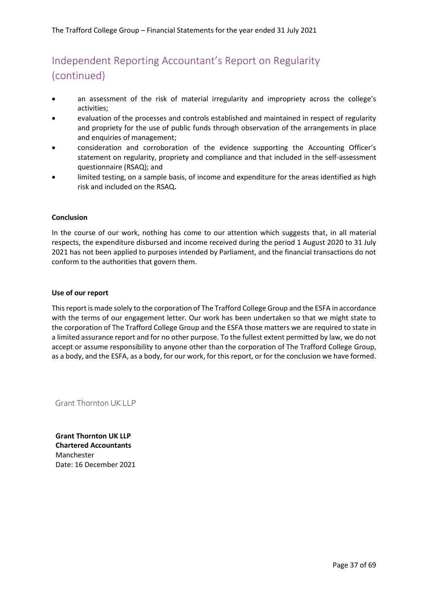# Independent Reporting Accountant's Report on Regularity (continued)

- an assessment of the risk of material irregularity and impropriety across the college's activities;
- evaluation of the processes and controls established and maintained in respect of regularity and propriety for the use of public funds through observation of the arrangements in place and enquiries of management;
- consideration and corroboration of the evidence supporting the Accounting Officer's statement on regularity, propriety and compliance and that included in the self-assessment questionnaire (RSAQ); and
- limited testing, on a sample basis, of income and expenditure for the areas identified as high risk and included on the RSAQ**.**

#### **Conclusion**

In the course of our work, nothing has come to our attention which suggests that, in all material respects, the expenditure disbursed and income received during the period 1 August 2020 to 31 July 2021 has not been applied to purposes intended by Parliament, and the financial transactions do not conform to the authorities that govern them.

#### **Use of our report**

This report is made solely to the corporation of The Trafford College Group and the ESFA in accordance with the terms of our engagement letter. Our work has been undertaken so that we might state to the corporation of The Trafford College Group and the ESFA those matters we are required to state in a limited assurance report and for no other purpose. To the fullest extent permitted by law, we do not accept or assume responsibility to anyone other than the corporation of The Trafford College Group, as a body, and the ESFA, as a body, for our work, for this report, or for the conclusion we have formed.

Grant Thornton UK LLP

**Grant Thornton UK LLP Chartered Accountants** Manchester Date: 16 December 2021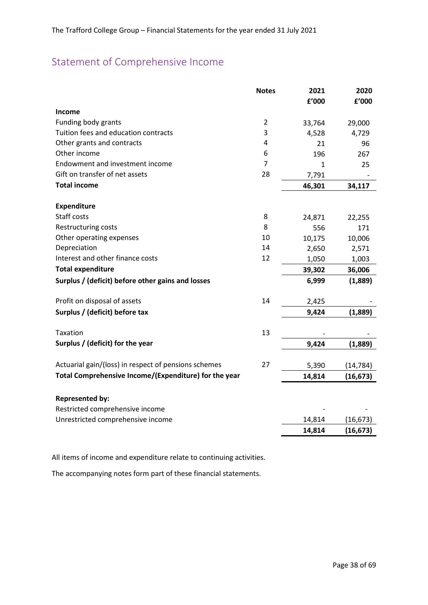# <span id="page-37-0"></span>Statement of Comprehensive Income

|                                                       | <b>Notes</b>   | 2021   | 2020      |
|-------------------------------------------------------|----------------|--------|-----------|
|                                                       |                | f'000  | f'000     |
| Income                                                |                |        |           |
| Funding body grants                                   | $\overline{2}$ | 33,764 | 29,000    |
| Tuition fees and education contracts                  | 3              | 4,528  | 4,729     |
| Other grants and contracts                            | 4              | 21     | 96        |
| Other income                                          | 6              | 196    | 267       |
| Endowment and investment income                       | 7              | 1      | 25        |
| Gift on transfer of net assets                        | 28             | 7,791  |           |
| <b>Total income</b>                                   |                | 46,301 | 34,117    |
| <b>Expenditure</b>                                    |                |        |           |
| Staff costs                                           | 8              | 24,871 | 22,255    |
| Restructuring costs                                   | 8              | 556    | 171       |
| Other operating expenses                              | 10             | 10,175 | 10,006    |
| Depreciation                                          | 14             | 2,650  | 2,571     |
| Interest and other finance costs                      | 12             | 1,050  | 1,003     |
| <b>Total expenditure</b>                              |                | 39,302 | 36,006    |
| Surplus / (deficit) before other gains and losses     |                | 6,999  | (1,889)   |
| Profit on disposal of assets                          | 14             | 2,425  |           |
| Surplus / (deficit) before tax                        |                | 9,424  | (1,889)   |
| Taxation                                              | 13             |        |           |
| Surplus / (deficit) for the year                      |                | 9,424  | (1,889)   |
| Actuarial gain/(loss) in respect of pensions schemes  | 27             | 5,390  | (14, 784) |
| Total Comprehensive Income/(Expenditure) for the year |                | 14,814 | (16, 673) |
| <b>Represented by:</b>                                |                |        |           |
| Restricted comprehensive income                       |                |        |           |
| Unrestricted comprehensive income                     |                | 14,814 | (16, 673) |
|                                                       |                | 14,814 | (16, 673) |
|                                                       |                |        |           |

All items of income and expenditure relate to continuing activities.

The accompanying notes form part of these financial statements.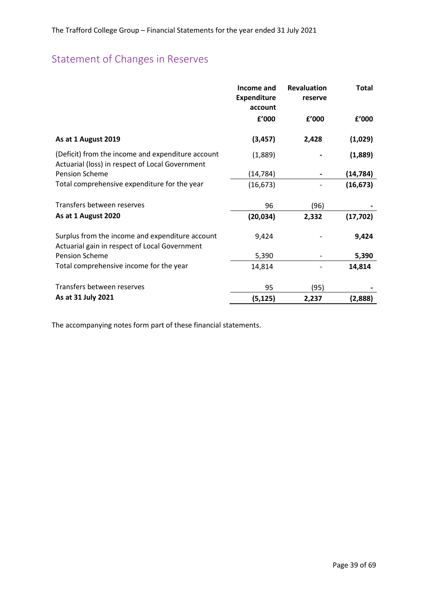# <span id="page-38-0"></span>Statement of Changes in Reserves

|                                                                                                      | Income and<br><b>Expenditure</b><br>account | <b>Revaluation</b><br>reserve | <b>Total</b> |
|------------------------------------------------------------------------------------------------------|---------------------------------------------|-------------------------------|--------------|
|                                                                                                      | £'000                                       | f'000                         | £'000        |
| As at 1 August 2019                                                                                  | (3, 457)                                    | 2,428                         | (1,029)      |
| (Deficit) from the income and expenditure account<br>Actuarial (loss) in respect of Local Government | (1,889)                                     |                               | (1,889)      |
| <b>Pension Scheme</b>                                                                                | (14, 784)                                   |                               | (14,784)     |
| Total comprehensive expenditure for the year                                                         | (16, 673)                                   |                               | (16, 673)    |
| Transfers between reserves                                                                           | 96                                          | (96)                          |              |
| As at 1 August 2020                                                                                  | (20, 034)                                   | 2,332                         | (17, 702)    |
| Surplus from the income and expenditure account<br>Actuarial gain in respect of Local Government     | 9,424                                       |                               | 9,424        |
| <b>Pension Scheme</b>                                                                                | 5,390                                       |                               | 5,390        |
| Total comprehensive income for the year                                                              | 14,814                                      |                               | 14,814       |
| Transfers between reserves                                                                           | 95                                          | (95)                          |              |
| As at 31 July 2021                                                                                   | (5, 125)                                    | 2,237                         | (2,888)      |

The accompanying notes form part of these financial statements.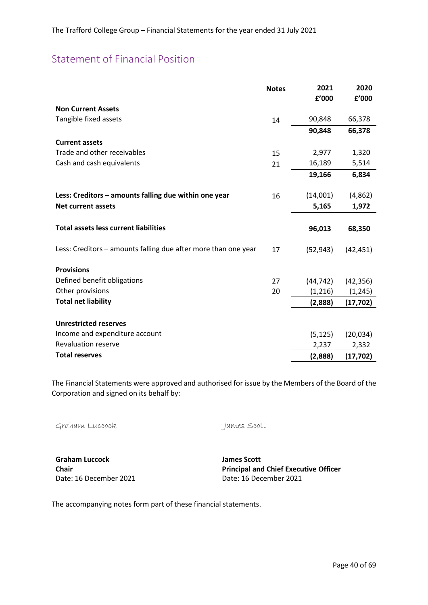# <span id="page-39-0"></span>Statement of Financial Position

|                                                                | <b>Notes</b> | 2021      | 2020      |
|----------------------------------------------------------------|--------------|-----------|-----------|
|                                                                |              | £'000     | £'000     |
| <b>Non Current Assets</b>                                      |              |           |           |
| Tangible fixed assets                                          | 14           | 90,848    | 66,378    |
|                                                                |              | 90,848    | 66,378    |
| <b>Current assets</b>                                          |              |           |           |
| Trade and other receivables                                    | 15           | 2,977     | 1,320     |
| Cash and cash equivalents                                      | 21           | 16,189    | 5,514     |
|                                                                |              | 19,166    | 6,834     |
|                                                                |              |           |           |
| Less: Creditors - amounts falling due within one year          | 16           | (14,001)  | (4,862)   |
| <b>Net current assets</b>                                      |              | 5,165     | 1,972     |
|                                                                |              |           |           |
| <b>Total assets less current liabilities</b>                   |              | 96,013    | 68,350    |
| Less: Creditors – amounts falling due after more than one year | 17           | (52, 943) | (42, 451) |
| <b>Provisions</b>                                              |              |           |           |
| Defined benefit obligations                                    | 27           | (44, 742) | (42, 356) |
| Other provisions                                               | 20           | (1, 216)  | (1, 245)  |
| <b>Total net liability</b>                                     |              | (2,888)   | (17, 702) |
|                                                                |              |           |           |
| <b>Unrestricted reserves</b>                                   |              |           |           |
| Income and expenditure account                                 |              | (5, 125)  | (20, 034) |
| <b>Revaluation reserve</b>                                     |              | 2,237     | 2,332     |
| <b>Total reserves</b>                                          |              | (2,888)   | (17, 702) |

The Financial Statements were approved and authorised for issue by the Members of the Board of the Corporation and signed on its behalf by:

Graham Luccock James Scott

**Graham Luccock Chair** Date: 16 December 2021 Date: 16 December 2021

**James Scott Principal and Chief Executive Officer** 

The accompanying notes form part of these financial statements.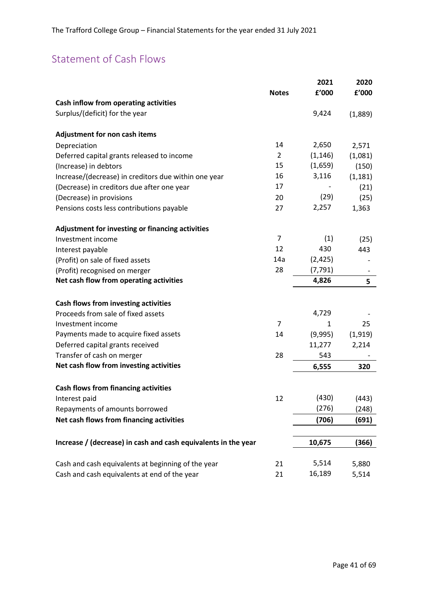# <span id="page-40-0"></span>Statement of Cash Flows

| Cash inflow from operating activities<br>Surplus/(deficit) for the year<br>9,424<br>(1,889)<br>Adjustment for non cash items<br>14<br>2,650<br>Depreciation<br>2,571<br>$\overline{2}$<br>(1, 146)<br>Deferred capital grants released to income<br>(1,081)<br>15<br>(1,659)<br>(Increase) in debtors<br>(150)<br>16<br>3,116<br>Increase/(decrease) in creditors due within one year<br>(1, 181)<br>17<br>(Decrease) in creditors due after one year<br>(21)<br>(29)<br>(Decrease) in provisions<br>(25)<br>20<br>2,257<br>Pensions costs less contributions payable<br>1,363<br>27<br>Adjustment for investing or financing activities<br>$\overline{7}$<br>(1)<br>Investment income<br>(25)<br>12<br>430<br>443<br>Interest payable<br>14a<br>(2, 425)<br>(Profit) on sale of fixed assets<br>28<br>(7, 791)<br>(Profit) recognised on merger<br>Net cash flow from operating activities<br>4,826<br>5<br>Cash flows from investing activities<br>4,729<br>Proceeds from sale of fixed assets<br>$\overline{7}$<br>Investment income<br>25<br>1<br>Payments made to acquire fixed assets<br>(9,995)<br>14<br>(1,919)<br>Deferred capital grants received<br>11,277<br>2,214<br>Transfer of cash on merger<br>28<br>543<br>Net cash flow from investing activities<br>6,555<br>320<br><b>Cash flows from financing activities</b><br>(430)<br>12<br>(443)<br>Interest paid<br>(276)<br>Repayments of amounts borrowed<br>(248)<br>Net cash flows from financing activities<br>(706)<br>(691)<br>Increase / (decrease) in cash and cash equivalents in the year<br>10,675<br>(366)<br>5,514<br>Cash and cash equivalents at beginning of the year<br>21<br>5,880<br>16,189<br>Cash and cash equivalents at end of the year<br>21<br>5,514 |              | 2021  | 2020  |
|--------------------------------------------------------------------------------------------------------------------------------------------------------------------------------------------------------------------------------------------------------------------------------------------------------------------------------------------------------------------------------------------------------------------------------------------------------------------------------------------------------------------------------------------------------------------------------------------------------------------------------------------------------------------------------------------------------------------------------------------------------------------------------------------------------------------------------------------------------------------------------------------------------------------------------------------------------------------------------------------------------------------------------------------------------------------------------------------------------------------------------------------------------------------------------------------------------------------------------------------------------------------------------------------------------------------------------------------------------------------------------------------------------------------------------------------------------------------------------------------------------------------------------------------------------------------------------------------------------------------------------------------------------------------------------------------------------------------------------------------|--------------|-------|-------|
|                                                                                                                                                                                                                                                                                                                                                                                                                                                                                                                                                                                                                                                                                                                                                                                                                                                                                                                                                                                                                                                                                                                                                                                                                                                                                                                                                                                                                                                                                                                                                                                                                                                                                                                                            | <b>Notes</b> | f'000 | f'000 |
|                                                                                                                                                                                                                                                                                                                                                                                                                                                                                                                                                                                                                                                                                                                                                                                                                                                                                                                                                                                                                                                                                                                                                                                                                                                                                                                                                                                                                                                                                                                                                                                                                                                                                                                                            |              |       |       |
|                                                                                                                                                                                                                                                                                                                                                                                                                                                                                                                                                                                                                                                                                                                                                                                                                                                                                                                                                                                                                                                                                                                                                                                                                                                                                                                                                                                                                                                                                                                                                                                                                                                                                                                                            |              |       |       |
|                                                                                                                                                                                                                                                                                                                                                                                                                                                                                                                                                                                                                                                                                                                                                                                                                                                                                                                                                                                                                                                                                                                                                                                                                                                                                                                                                                                                                                                                                                                                                                                                                                                                                                                                            |              |       |       |
|                                                                                                                                                                                                                                                                                                                                                                                                                                                                                                                                                                                                                                                                                                                                                                                                                                                                                                                                                                                                                                                                                                                                                                                                                                                                                                                                                                                                                                                                                                                                                                                                                                                                                                                                            |              |       |       |
|                                                                                                                                                                                                                                                                                                                                                                                                                                                                                                                                                                                                                                                                                                                                                                                                                                                                                                                                                                                                                                                                                                                                                                                                                                                                                                                                                                                                                                                                                                                                                                                                                                                                                                                                            |              |       |       |
|                                                                                                                                                                                                                                                                                                                                                                                                                                                                                                                                                                                                                                                                                                                                                                                                                                                                                                                                                                                                                                                                                                                                                                                                                                                                                                                                                                                                                                                                                                                                                                                                                                                                                                                                            |              |       |       |
|                                                                                                                                                                                                                                                                                                                                                                                                                                                                                                                                                                                                                                                                                                                                                                                                                                                                                                                                                                                                                                                                                                                                                                                                                                                                                                                                                                                                                                                                                                                                                                                                                                                                                                                                            |              |       |       |
|                                                                                                                                                                                                                                                                                                                                                                                                                                                                                                                                                                                                                                                                                                                                                                                                                                                                                                                                                                                                                                                                                                                                                                                                                                                                                                                                                                                                                                                                                                                                                                                                                                                                                                                                            |              |       |       |
|                                                                                                                                                                                                                                                                                                                                                                                                                                                                                                                                                                                                                                                                                                                                                                                                                                                                                                                                                                                                                                                                                                                                                                                                                                                                                                                                                                                                                                                                                                                                                                                                                                                                                                                                            |              |       |       |
|                                                                                                                                                                                                                                                                                                                                                                                                                                                                                                                                                                                                                                                                                                                                                                                                                                                                                                                                                                                                                                                                                                                                                                                                                                                                                                                                                                                                                                                                                                                                                                                                                                                                                                                                            |              |       |       |
|                                                                                                                                                                                                                                                                                                                                                                                                                                                                                                                                                                                                                                                                                                                                                                                                                                                                                                                                                                                                                                                                                                                                                                                                                                                                                                                                                                                                                                                                                                                                                                                                                                                                                                                                            |              |       |       |
|                                                                                                                                                                                                                                                                                                                                                                                                                                                                                                                                                                                                                                                                                                                                                                                                                                                                                                                                                                                                                                                                                                                                                                                                                                                                                                                                                                                                                                                                                                                                                                                                                                                                                                                                            |              |       |       |
|                                                                                                                                                                                                                                                                                                                                                                                                                                                                                                                                                                                                                                                                                                                                                                                                                                                                                                                                                                                                                                                                                                                                                                                                                                                                                                                                                                                                                                                                                                                                                                                                                                                                                                                                            |              |       |       |
|                                                                                                                                                                                                                                                                                                                                                                                                                                                                                                                                                                                                                                                                                                                                                                                                                                                                                                                                                                                                                                                                                                                                                                                                                                                                                                                                                                                                                                                                                                                                                                                                                                                                                                                                            |              |       |       |
|                                                                                                                                                                                                                                                                                                                                                                                                                                                                                                                                                                                                                                                                                                                                                                                                                                                                                                                                                                                                                                                                                                                                                                                                                                                                                                                                                                                                                                                                                                                                                                                                                                                                                                                                            |              |       |       |
|                                                                                                                                                                                                                                                                                                                                                                                                                                                                                                                                                                                                                                                                                                                                                                                                                                                                                                                                                                                                                                                                                                                                                                                                                                                                                                                                                                                                                                                                                                                                                                                                                                                                                                                                            |              |       |       |
|                                                                                                                                                                                                                                                                                                                                                                                                                                                                                                                                                                                                                                                                                                                                                                                                                                                                                                                                                                                                                                                                                                                                                                                                                                                                                                                                                                                                                                                                                                                                                                                                                                                                                                                                            |              |       |       |
|                                                                                                                                                                                                                                                                                                                                                                                                                                                                                                                                                                                                                                                                                                                                                                                                                                                                                                                                                                                                                                                                                                                                                                                                                                                                                                                                                                                                                                                                                                                                                                                                                                                                                                                                            |              |       |       |
|                                                                                                                                                                                                                                                                                                                                                                                                                                                                                                                                                                                                                                                                                                                                                                                                                                                                                                                                                                                                                                                                                                                                                                                                                                                                                                                                                                                                                                                                                                                                                                                                                                                                                                                                            |              |       |       |
|                                                                                                                                                                                                                                                                                                                                                                                                                                                                                                                                                                                                                                                                                                                                                                                                                                                                                                                                                                                                                                                                                                                                                                                                                                                                                                                                                                                                                                                                                                                                                                                                                                                                                                                                            |              |       |       |
|                                                                                                                                                                                                                                                                                                                                                                                                                                                                                                                                                                                                                                                                                                                                                                                                                                                                                                                                                                                                                                                                                                                                                                                                                                                                                                                                                                                                                                                                                                                                                                                                                                                                                                                                            |              |       |       |
|                                                                                                                                                                                                                                                                                                                                                                                                                                                                                                                                                                                                                                                                                                                                                                                                                                                                                                                                                                                                                                                                                                                                                                                                                                                                                                                                                                                                                                                                                                                                                                                                                                                                                                                                            |              |       |       |
|                                                                                                                                                                                                                                                                                                                                                                                                                                                                                                                                                                                                                                                                                                                                                                                                                                                                                                                                                                                                                                                                                                                                                                                                                                                                                                                                                                                                                                                                                                                                                                                                                                                                                                                                            |              |       |       |
|                                                                                                                                                                                                                                                                                                                                                                                                                                                                                                                                                                                                                                                                                                                                                                                                                                                                                                                                                                                                                                                                                                                                                                                                                                                                                                                                                                                                                                                                                                                                                                                                                                                                                                                                            |              |       |       |
|                                                                                                                                                                                                                                                                                                                                                                                                                                                                                                                                                                                                                                                                                                                                                                                                                                                                                                                                                                                                                                                                                                                                                                                                                                                                                                                                                                                                                                                                                                                                                                                                                                                                                                                                            |              |       |       |
|                                                                                                                                                                                                                                                                                                                                                                                                                                                                                                                                                                                                                                                                                                                                                                                                                                                                                                                                                                                                                                                                                                                                                                                                                                                                                                                                                                                                                                                                                                                                                                                                                                                                                                                                            |              |       |       |
|                                                                                                                                                                                                                                                                                                                                                                                                                                                                                                                                                                                                                                                                                                                                                                                                                                                                                                                                                                                                                                                                                                                                                                                                                                                                                                                                                                                                                                                                                                                                                                                                                                                                                                                                            |              |       |       |
|                                                                                                                                                                                                                                                                                                                                                                                                                                                                                                                                                                                                                                                                                                                                                                                                                                                                                                                                                                                                                                                                                                                                                                                                                                                                                                                                                                                                                                                                                                                                                                                                                                                                                                                                            |              |       |       |
|                                                                                                                                                                                                                                                                                                                                                                                                                                                                                                                                                                                                                                                                                                                                                                                                                                                                                                                                                                                                                                                                                                                                                                                                                                                                                                                                                                                                                                                                                                                                                                                                                                                                                                                                            |              |       |       |
|                                                                                                                                                                                                                                                                                                                                                                                                                                                                                                                                                                                                                                                                                                                                                                                                                                                                                                                                                                                                                                                                                                                                                                                                                                                                                                                                                                                                                                                                                                                                                                                                                                                                                                                                            |              |       |       |
|                                                                                                                                                                                                                                                                                                                                                                                                                                                                                                                                                                                                                                                                                                                                                                                                                                                                                                                                                                                                                                                                                                                                                                                                                                                                                                                                                                                                                                                                                                                                                                                                                                                                                                                                            |              |       |       |
|                                                                                                                                                                                                                                                                                                                                                                                                                                                                                                                                                                                                                                                                                                                                                                                                                                                                                                                                                                                                                                                                                                                                                                                                                                                                                                                                                                                                                                                                                                                                                                                                                                                                                                                                            |              |       |       |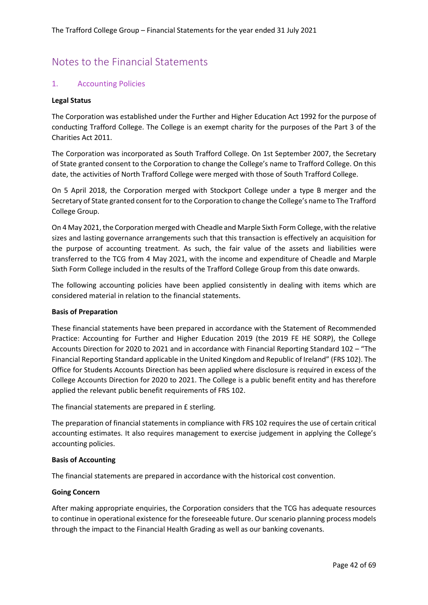## <span id="page-41-0"></span>Notes to the Financial Statements

#### 1. Accounting Policies

#### **Legal Status**

The Corporation was established under the Further and Higher Education Act 1992 for the purpose of conducting Trafford College. The College is an exempt charity for the purposes of the Part 3 of the Charities Act 2011.

The Corporation was incorporated as South Trafford College. On 1st September 2007, the Secretary of State granted consent to the Corporation to change the College's name to Trafford College. On this date, the activities of North Trafford College were merged with those of South Trafford College.

On 5 April 2018, the Corporation merged with Stockport College under a type B merger and the Secretary of State granted consent for to the Corporation to change the College's name to The Trafford College Group.

On 4 May 2021, the Corporation merged with Cheadle and Marple Sixth Form College, with the relative sizes and lasting governance arrangements such that this transaction is effectively an acquisition for the purpose of accounting treatment. As such, the fair value of the assets and liabilities were transferred to the TCG from 4 May 2021, with the income and expenditure of Cheadle and Marple Sixth Form College included in the results of the Trafford College Group from this date onwards.

The following accounting policies have been applied consistently in dealing with items which are considered material in relation to the financial statements.

#### **Basis of Preparation**

These financial statements have been prepared in accordance with the Statement of Recommended Practice: Accounting for Further and Higher Education 2019 (the 2019 FE HE SORP), the College Accounts Direction for 2020 to 2021 and in accordance with Financial Reporting Standard 102 – "The Financial Reporting Standard applicable in the United Kingdom and Republic of Ireland" (FRS 102). The Office for Students Accounts Direction has been applied where disclosure is required in excess of the College Accounts Direction for 2020 to 2021. The College is a public benefit entity and has therefore applied the relevant public benefit requirements of FRS 102.

The financial statements are prepared in £ sterling.

The preparation of financial statements in compliance with FRS 102 requires the use of certain critical accounting estimates. It also requires management to exercise judgement in applying the College's accounting policies.

#### **Basis of Accounting**

The financial statements are prepared in accordance with the historical cost convention.

#### **Going Concern**

After making appropriate enquiries, the Corporation considers that the TCG has adequate resources to continue in operational existence for the foreseeable future. Our scenario planning process models through the impact to the Financial Health Grading as well as our banking covenants.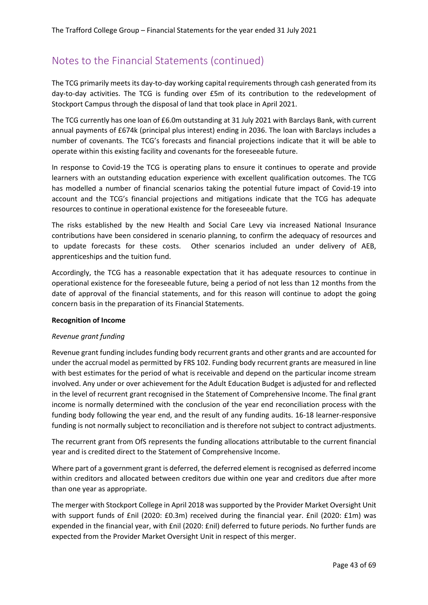The TCG primarily meets its day-to-day working capital requirements through cash generated from its day-to-day activities. The TCG is funding over £5m of its contribution to the redevelopment of Stockport Campus through the disposal of land that took place in April 2021.

The TCG currently has one loan of £6.0m outstanding at 31 July 2021 with Barclays Bank, with current annual payments of £674k (principal plus interest) ending in 2036. The loan with Barclays includes a number of covenants. The TCG's forecasts and financial projections indicate that it will be able to operate within this existing facility and covenants for the foreseeable future.

In response to Covid-19 the TCG is operating plans to ensure it continues to operate and provide learners with an outstanding education experience with excellent qualification outcomes. The TCG has modelled a number of financial scenarios taking the potential future impact of Covid-19 into account and the TCG's financial projections and mitigations indicate that the TCG has adequate resources to continue in operational existence for the foreseeable future.

The risks established by the new Health and Social Care Levy via increased National Insurance contributions have been considered in scenario planning, to confirm the adequacy of resources and to update forecasts for these costs. Other scenarios included an under delivery of AEB, apprenticeships and the tuition fund.

Accordingly, the TCG has a reasonable expectation that it has adequate resources to continue in operational existence for the foreseeable future, being a period of not less than 12 months from the date of approval of the financial statements, and for this reason will continue to adopt the going concern basis in the preparation of its Financial Statements.

#### **Recognition of Income**

#### *Revenue grant funding*

Revenue grant funding includes funding body recurrent grants and other grants and are accounted for under the accrual model as permitted by FRS 102. Funding body recurrent grants are measured in line with best estimates for the period of what is receivable and depend on the particular income stream involved. Any under or over achievement for the Adult Education Budget is adjusted for and reflected in the level of recurrent grant recognised in the Statement of Comprehensive Income. The final grant income is normally determined with the conclusion of the year end reconciliation process with the funding body following the year end, and the result of any funding audits. 16-18 learner-responsive funding is not normally subject to reconciliation and is therefore not subject to contract adjustments.

The recurrent grant from OfS represents the funding allocations attributable to the current financial year and is credited direct to the Statement of Comprehensive Income.

Where part of a government grant is deferred, the deferred element is recognised as deferred income within creditors and allocated between creditors due within one year and creditors due after more than one year as appropriate.

The merger with Stockport College in April 2018 was supported by the Provider Market Oversight Unit with support funds of £nil (2020: £0.3m) received during the financial year. £nil (2020: £1m) was expended in the financial year, with £nil (2020: £nil) deferred to future periods. No further funds are expected from the Provider Market Oversight Unit in respect of this merger.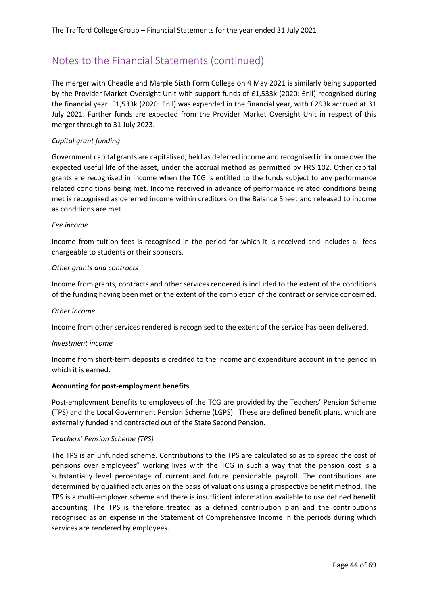The merger with Cheadle and Marple Sixth Form College on 4 May 2021 is similarly being supported by the Provider Market Oversight Unit with support funds of £1,533k (2020: £nil) recognised during the financial year. £1,533k (2020: £nil) was expended in the financial year, with £293k accrued at 31 July 2021. Further funds are expected from the Provider Market Oversight Unit in respect of this merger through to 31 July 2023.

#### *Capital grant funding*

Government capital grants are capitalised, held as deferred income and recognised in income over the expected useful life of the asset, under the accrual method as permitted by FRS 102. Other capital grants are recognised in income when the TCG is entitled to the funds subject to any performance related conditions being met. Income received in advance of performance related conditions being met is recognised as deferred income within creditors on the Balance Sheet and released to income as conditions are met.

#### *Fee income*

Income from tuition fees is recognised in the period for which it is received and includes all fees chargeable to students or their sponsors.

#### *Other grants and contracts*

Income from grants, contracts and other services rendered is included to the extent of the conditions of the funding having been met or the extent of the completion of the contract or service concerned.

#### *Other income*

Income from other services rendered is recognised to the extent of the service has been delivered.

#### *Investment income*

Income from short-term deposits is credited to the income and expenditure account in the period in which it is earned.

#### **Accounting for post-employment benefits**

Post-employment benefits to employees of the TCG are provided by the Teachers' Pension Scheme (TPS) and the Local Government Pension Scheme (LGPS). These are defined benefit plans, which are externally funded and contracted out of the State Second Pension.

#### *Teachers' Pension Scheme (TPS)*

The TPS is an unfunded scheme. Contributions to the TPS are calculated so as to spread the cost of pensions over employees" working lives with the TCG in such a way that the pension cost is a substantially level percentage of current and future pensionable payroll. The contributions are determined by qualified actuaries on the basis of valuations using a prospective benefit method. The TPS is a multi-employer scheme and there is insufficient information available to use defined benefit accounting. The TPS is therefore treated as a defined contribution plan and the contributions recognised as an expense in the Statement of Comprehensive Income in the periods during which services are rendered by employees.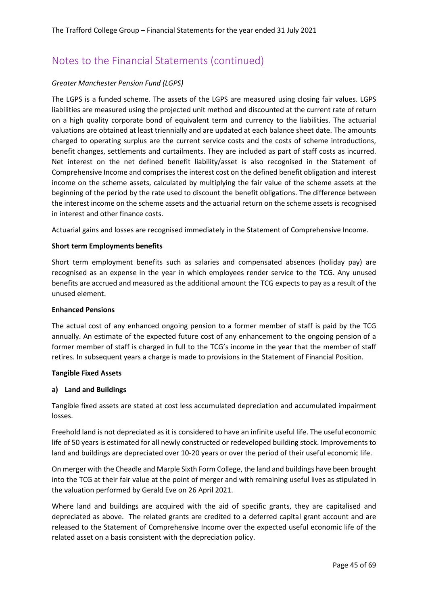#### *Greater Manchester Pension Fund (LGPS)*

The LGPS is a funded scheme. The assets of the LGPS are measured using closing fair values. LGPS liabilities are measured using the projected unit method and discounted at the current rate of return on a high quality corporate bond of equivalent term and currency to the liabilities. The actuarial valuations are obtained at least triennially and are updated at each balance sheet date. The amounts charged to operating surplus are the current service costs and the costs of scheme introductions, benefit changes, settlements and curtailments. They are included as part of staff costs as incurred. Net interest on the net defined benefit liability/asset is also recognised in the Statement of Comprehensive Income and comprises the interest cost on the defined benefit obligation and interest income on the scheme assets, calculated by multiplying the fair value of the scheme assets at the beginning of the period by the rate used to discount the benefit obligations. The difference between the interest income on the scheme assets and the actuarial return on the scheme assets is recognised in interest and other finance costs.

Actuarial gains and losses are recognised immediately in the Statement of Comprehensive Income.

#### **Short term Employments benefits**

Short term employment benefits such as salaries and compensated absences (holiday pay) are recognised as an expense in the year in which employees render service to the TCG. Any unused benefits are accrued and measured as the additional amount the TCG expects to pay as a result of the unused element.

#### **Enhanced Pensions**

The actual cost of any enhanced ongoing pension to a former member of staff is paid by the TCG annually. An estimate of the expected future cost of any enhancement to the ongoing pension of a former member of staff is charged in full to the TCG's income in the year that the member of staff retires. In subsequent years a charge is made to provisions in the Statement of Financial Position.

#### **Tangible Fixed Assets**

#### **a) Land and Buildings**

Tangible fixed assets are stated at cost less accumulated depreciation and accumulated impairment losses.

Freehold land is not depreciated as it is considered to have an infinite useful life. The useful economic life of 50 years is estimated for all newly constructed or redeveloped building stock. Improvements to land and buildings are depreciated over 10-20 years or over the period of their useful economic life.

On merger with the Cheadle and Marple Sixth Form College, the land and buildings have been brought into the TCG at their fair value at the point of merger and with remaining useful lives as stipulated in the valuation performed by Gerald Eve on 26 April 2021.

Where land and buildings are acquired with the aid of specific grants, they are capitalised and depreciated as above. The related grants are credited to a deferred capital grant account and are released to the Statement of Comprehensive Income over the expected useful economic life of the related asset on a basis consistent with the depreciation policy.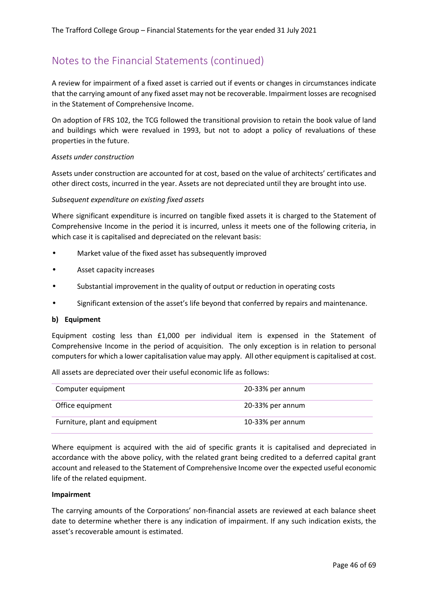A review for impairment of a fixed asset is carried out if events or changes in circumstances indicate that the carrying amount of any fixed asset may not be recoverable. Impairment losses are recognised in the Statement of Comprehensive Income.

On adoption of FRS 102, the TCG followed the transitional provision to retain the book value of land and buildings which were revalued in 1993, but not to adopt a policy of revaluations of these properties in the future.

#### *Assets under construction*

Assets under construction are accounted for at cost, based on the value of architects' certificates and other direct costs, incurred in the year. Assets are not depreciated until they are brought into use.

#### *Subsequent expenditure on existing fixed assets*

Where significant expenditure is incurred on tangible fixed assets it is charged to the Statement of Comprehensive Income in the period it is incurred, unless it meets one of the following criteria, in which case it is capitalised and depreciated on the relevant basis:

- Market value of the fixed asset has subsequently improved
- Asset capacity increases
- Substantial improvement in the quality of output or reduction in operating costs
- Significant extension of the asset's life beyond that conferred by repairs and maintenance.

#### **b) Equipment**

Equipment costing less than £1,000 per individual item is expensed in the Statement of Comprehensive Income in the period of acquisition. The only exception is in relation to personal computers for which a lower capitalisation value may apply. All other equipment is capitalised at cost.

All assets are depreciated over their useful economic life as follows:

| Computer equipment             | 20-33% per annum |
|--------------------------------|------------------|
| Office equipment               | 20-33% per annum |
| Furniture, plant and equipment | 10-33% per annum |

Where equipment is acquired with the aid of specific grants it is capitalised and depreciated in accordance with the above policy, with the related grant being credited to a deferred capital grant account and released to the Statement of Comprehensive Income over the expected useful economic life of the related equipment.

#### **Impairment**

The carrying amounts of the Corporations' non-financial assets are reviewed at each balance sheet date to determine whether there is any indication of impairment. If any such indication exists, the asset's recoverable amount is estimated.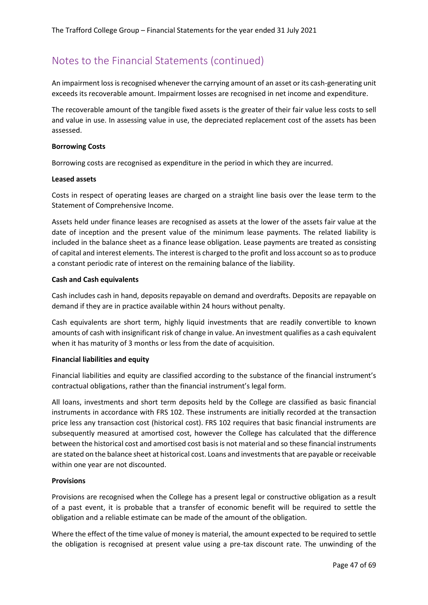An impairment loss is recognised whenever the carrying amount of an asset or its cash-generating unit exceeds its recoverable amount. Impairment losses are recognised in net income and expenditure.

The recoverable amount of the tangible fixed assets is the greater of their fair value less costs to sell and value in use. In assessing value in use, the depreciated replacement cost of the assets has been assessed.

#### **Borrowing Costs**

Borrowing costs are recognised as expenditure in the period in which they are incurred.

#### **Leased assets**

Costs in respect of operating leases are charged on a straight line basis over the lease term to the Statement of Comprehensive Income.

Assets held under finance leases are recognised as assets at the lower of the assets fair value at the date of inception and the present value of the minimum lease payments. The related liability is included in the balance sheet as a finance lease obligation. Lease payments are treated as consisting of capital and interest elements. The interest is charged to the profit and loss account so as to produce a constant periodic rate of interest on the remaining balance of the liability.

#### **Cash and Cash equivalents**

Cash includes cash in hand, deposits repayable on demand and overdrafts. Deposits are repayable on demand if they are in practice available within 24 hours without penalty.

Cash equivalents are short term, highly liquid investments that are readily convertible to known amounts of cash with insignificant risk of change in value. An investment qualifies as a cash equivalent when it has maturity of 3 months or less from the date of acquisition.

#### **Financial liabilities and equity**

Financial liabilities and equity are classified according to the substance of the financial instrument's contractual obligations, rather than the financial instrument's legal form.

All loans, investments and short term deposits held by the College are classified as basic financial instruments in accordance with FRS 102. These instruments are initially recorded at the transaction price less any transaction cost (historical cost). FRS 102 requires that basic financial instruments are subsequently measured at amortised cost, however the College has calculated that the difference between the historical cost and amortised cost basis is not material and so these financial instruments are stated on the balance sheet at historical cost. Loans and investments that are payable or receivable within one year are not discounted.

#### **Provisions**

Provisions are recognised when the College has a present legal or constructive obligation as a result of a past event, it is probable that a transfer of economic benefit will be required to settle the obligation and a reliable estimate can be made of the amount of the obligation.

Where the effect of the time value of money is material, the amount expected to be required to settle the obligation is recognised at present value using a pre-tax discount rate. The unwinding of the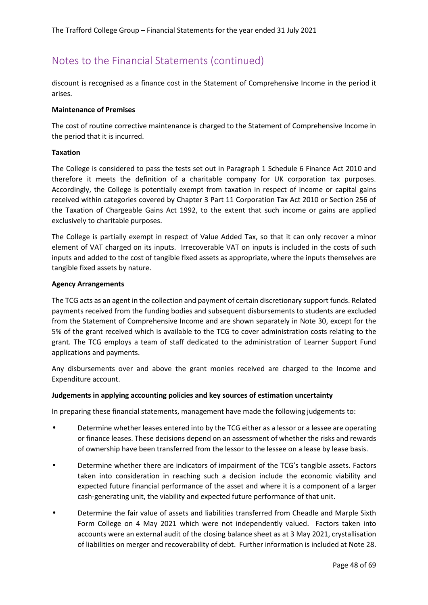discount is recognised as a finance cost in the Statement of Comprehensive Income in the period it arises.

#### **Maintenance of Premises**

The cost of routine corrective maintenance is charged to the Statement of Comprehensive Income in the period that it is incurred.

#### **Taxation**

The College is considered to pass the tests set out in Paragraph 1 Schedule 6 Finance Act 2010 and therefore it meets the definition of a charitable company for UK corporation tax purposes. Accordingly, the College is potentially exempt from taxation in respect of income or capital gains received within categories covered by Chapter 3 Part 11 Corporation Tax Act 2010 or Section 256 of the Taxation of Chargeable Gains Act 1992, to the extent that such income or gains are applied exclusively to charitable purposes.

The College is partially exempt in respect of Value Added Tax, so that it can only recover a minor element of VAT charged on its inputs. Irrecoverable VAT on inputs is included in the costs of such inputs and added to the cost of tangible fixed assets as appropriate, where the inputs themselves are tangible fixed assets by nature.

#### **Agency Arrangements**

The TCG acts as an agent in the collection and payment of certain discretionary support funds. Related payments received from the funding bodies and subsequent disbursements to students are excluded from the Statement of Comprehensive Income and are shown separately in Note 30, except for the 5% of the grant received which is available to the TCG to cover administration costs relating to the grant. The TCG employs a team of staff dedicated to the administration of Learner Support Fund applications and payments.

Any disbursements over and above the grant monies received are charged to the Income and Expenditure account.

#### **Judgements in applying accounting policies and key sources of estimation uncertainty**

In preparing these financial statements, management have made the following judgements to:

- Determine whether leases entered into by the TCG either as a lessor or a lessee are operating or finance leases. These decisions depend on an assessment of whether the risks and rewards of ownership have been transferred from the lessor to the lessee on a lease by lease basis.
- Determine whether there are indicators of impairment of the TCG's tangible assets. Factors taken into consideration in reaching such a decision include the economic viability and expected future financial performance of the asset and where it is a component of a larger cash-generating unit, the viability and expected future performance of that unit.
- Determine the fair value of assets and liabilities transferred from Cheadle and Marple Sixth Form College on 4 May 2021 which were not independently valued. Factors taken into accounts were an external audit of the closing balance sheet as at 3 May 2021, crystallisation of liabilities on merger and recoverability of debt. Further information is included at Note 28.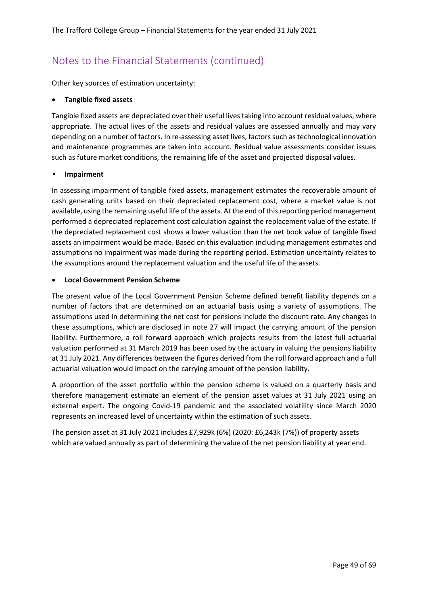Other key sources of estimation uncertainty:

#### • **Tangible fixed assets**

Tangible fixed assets are depreciated over their useful lives taking into account residual values, where appropriate. The actual lives of the assets and residual values are assessed annually and may vary depending on a number of factors. In re-assessing asset lives, factors such as technological innovation and maintenance programmes are taken into account. Residual value assessments consider issues such as future market conditions, the remaining life of the asset and projected disposal values.

#### • **Impairment**

In assessing impairment of tangible fixed assets, management estimates the recoverable amount of cash generating units based on their depreciated replacement cost, where a market value is not available, using the remaining useful life of the assets. At the end of this reporting period management performed a depreciated replacement cost calculation against the replacement value of the estate. If the depreciated replacement cost shows a lower valuation than the net book value of tangible fixed assets an impairment would be made. Based on this evaluation including management estimates and assumptions no impairment was made during the reporting period. Estimation uncertainty relates to the assumptions around the replacement valuation and the useful life of the assets.

#### • **Local Government Pension Scheme**

The present value of the Local Government Pension Scheme defined benefit liability depends on a number of factors that are determined on an actuarial basis using a variety of assumptions. The assumptions used in determining the net cost for pensions include the discount rate. Any changes in these assumptions, which are disclosed in note 27 will impact the carrying amount of the pension liability. Furthermore, a roll forward approach which projects results from the latest full actuarial valuation performed at 31 March 2019 has been used by the actuary in valuing the pensions liability at 31 July 2021. Any differences between the figures derived from the roll forward approach and a full actuarial valuation would impact on the carrying amount of the pension liability.

A proportion of the asset portfolio within the pension scheme is valued on a quarterly basis and therefore management estimate an element of the pension asset values at 31 July 2021 using an external expert. The ongoing Covid-19 pandemic and the associated volatility since March 2020 represents an increased level of uncertainty within the estimation of such assets.

The pension asset at 31 July 2021 includes £7,929k (6%) (2020: £6,243k (7%)) of property assets which are valued annually as part of determining the value of the net pension liability at year end.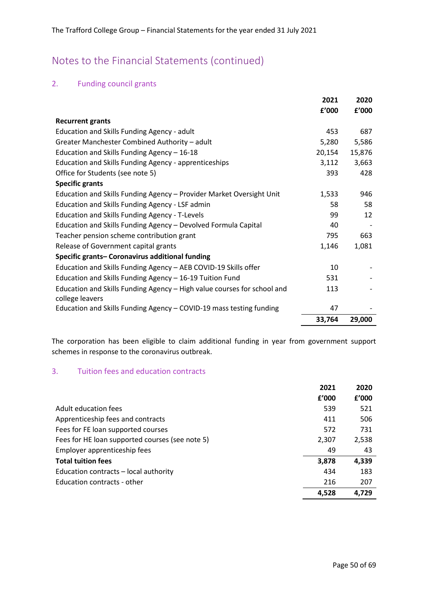### 2. Funding council grants

|                                                                                            | 2021   | 2020   |
|--------------------------------------------------------------------------------------------|--------|--------|
|                                                                                            | f'000  | f'000  |
| <b>Recurrent grants</b>                                                                    |        |        |
| Education and Skills Funding Agency - adult                                                | 453    | 687    |
| Greater Manchester Combined Authority - adult                                              | 5,280  | 5,586  |
| Education and Skills Funding Agency - 16-18                                                | 20,154 | 15,876 |
| Education and Skills Funding Agency - apprenticeships                                      | 3,112  | 3,663  |
| Office for Students (see note 5)                                                           | 393    | 428    |
| <b>Specific grants</b>                                                                     |        |        |
| Education and Skills Funding Agency - Provider Market Oversight Unit                       | 1,533  | 946    |
| Education and Skills Funding Agency - LSF admin                                            | 58     | 58     |
| Education and Skills Funding Agency - T-Levels                                             | 99     | 12     |
| Education and Skills Funding Agency - Devolved Formula Capital                             | 40     |        |
| Teacher pension scheme contribution grant                                                  | 795    | 663    |
| Release of Government capital grants                                                       | 1,146  | 1,081  |
| Specific grants- Coronavirus additional funding                                            |        |        |
| Education and Skills Funding Agency - AEB COVID-19 Skills offer                            | 10     |        |
| Education and Skills Funding Agency - 16-19 Tuition Fund                                   | 531    |        |
| Education and Skills Funding Agency - High value courses for school and<br>college leavers | 113    |        |
| Education and Skills Funding Agency - COVID-19 mass testing funding                        | 47     |        |
|                                                                                            | 33,764 | 29,000 |

The corporation has been eligible to claim additional funding in year from government support schemes in response to the coronavirus outbreak.

### 3. Tuition fees and education contracts

|                                                 | 2021  | 2020  |
|-------------------------------------------------|-------|-------|
|                                                 | f'000 | f'000 |
| Adult education fees                            | 539   | 521   |
| Apprenticeship fees and contracts               | 411   | 506   |
| Fees for FE loan supported courses              | 572   | 731   |
| Fees for HE loan supported courses (see note 5) | 2,307 | 2,538 |
| Employer apprenticeship fees                    | 49    | 43    |
| <b>Total tuition fees</b>                       | 3,878 | 4,339 |
| Education contracts - local authority           | 434   | 183   |
| Education contracts - other                     | 216   | 207   |
|                                                 | 4.528 | 4.729 |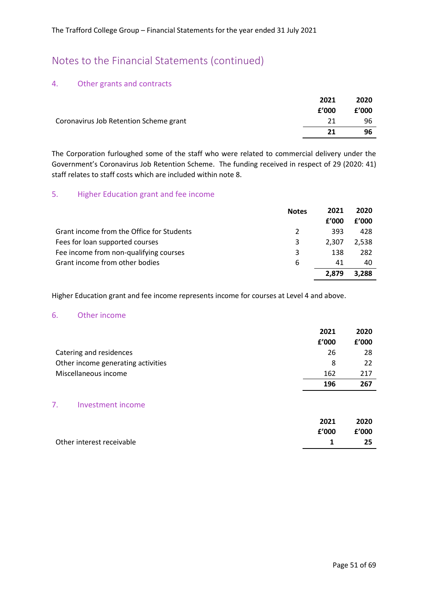#### 4. Other grants and contracts

|                                        | 2021  | 2020  |
|----------------------------------------|-------|-------|
|                                        | f'000 | f'000 |
| Coronavirus Job Retention Scheme grant | 21    | 96    |
|                                        | 21    | 96    |

The Corporation furloughed some of the staff who were related to commercial delivery under the Government's Coronavirus Job Retention Scheme. The funding received in respect of 29 (2020: 41) staff relates to staff costs which are included within note 8.

#### 5. Higher Education grant and fee income

|                                           | <b>Notes</b> | 2021  | 2020  |
|-------------------------------------------|--------------|-------|-------|
|                                           |              | f'000 | f'000 |
| Grant income from the Office for Students | 2            | 393   | 428   |
| Fees for loan supported courses           | 3            | 2.307 | 2.538 |
| Fee income from non-qualifying courses    | 3            | 138   | 282   |
| Grant income from other bodies            | 6            | 41    | 40    |
|                                           |              | 2.879 | 3.288 |

Higher Education grant and fee income represents income for courses at Level 4 and above.

#### 6. Other income

|                                    | 2021  | 2020  |
|------------------------------------|-------|-------|
|                                    | £'000 | f'000 |
| Catering and residences            | 26    | 28    |
| Other income generating activities | 8     | 22    |
| Miscellaneous income               | 162   | 217   |
|                                    | 196   | 267   |
|                                    |       |       |
| Investment income                  |       |       |

|                           | 2021  | 2020  |
|---------------------------|-------|-------|
|                           | f'000 | f'000 |
| Other interest receivable |       | -25   |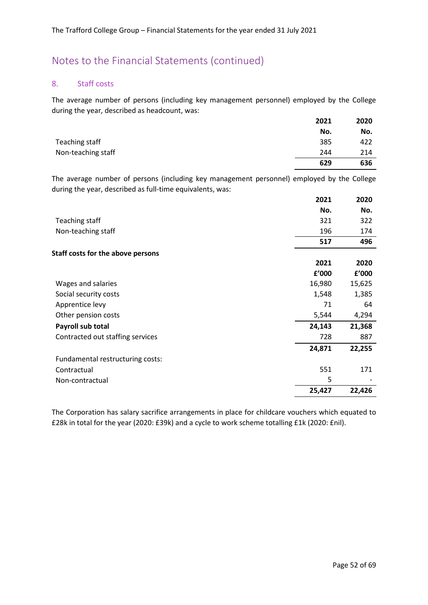#### 8. Staff costs

The average number of persons (including key management personnel) employed by the College during the year, described as headcount, was:

|                    | 2021 | 2020 |
|--------------------|------|------|
|                    | No.  | No.  |
| Teaching staff     | 385  | 422  |
| Non-teaching staff | 244  | 214  |
|                    | 629  | 636  |

The average number of persons (including key management personnel) employed by the College during the year, described as full-time equivalents, was:

|                                          | 2021   | 2020   |
|------------------------------------------|--------|--------|
|                                          | No.    | No.    |
| Teaching staff                           | 321    | 322    |
| Non-teaching staff                       | 196    | 174    |
|                                          | 517    | 496    |
| <b>Staff costs for the above persons</b> |        |        |
|                                          | 2021   | 2020   |
|                                          | f'000  | f'000  |
| Wages and salaries                       | 16,980 | 15,625 |
| Social security costs                    | 1,548  | 1,385  |
| Apprentice levy                          | 71     | 64     |
| Other pension costs                      | 5,544  | 4,294  |
| Payroll sub total                        | 24,143 | 21,368 |
| Contracted out staffing services         | 728    | 887    |
|                                          | 24,871 | 22,255 |
| Fundamental restructuring costs:         |        |        |
| Contractual                              | 551    | 171    |
| Non-contractual                          | 5      |        |
|                                          | 25,427 | 22,426 |

The Corporation has salary sacrifice arrangements in place for childcare vouchers which equated to £28k in total for the year (2020: £39k) and a cycle to work scheme totalling £1k (2020: £nil).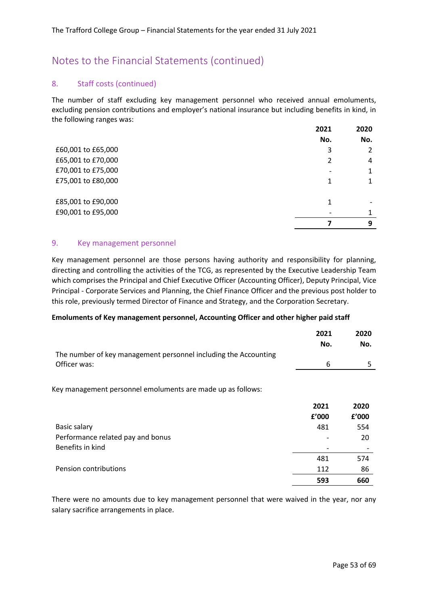#### 8. Staff costs (continued)

The number of staff excluding key management personnel who received annual emoluments, excluding pension contributions and employer's national insurance but including benefits in kind, in the following ranges was:

|                    | 2021 | 2020 |
|--------------------|------|------|
|                    | No.  | No.  |
| £60,001 to £65,000 | 3    |      |
| £65,001 to £70,000 | 2    | 4    |
| £70,001 to £75,000 |      | 1    |
| £75,001 to £80,000 |      |      |
| £85,001 to £90,000 | 1    |      |
| £90,001 to £95,000 |      |      |
|                    |      | 9    |

#### 9. Key management personnel

Key management personnel are those persons having authority and responsibility for planning, directing and controlling the activities of the TCG, as represented by the Executive Leadership Team which comprises the Principal and Chief Executive Officer (Accounting Officer), Deputy Principal, Vice Principal - Corporate Services and Planning, the Chief Finance Officer and the previous post holder to this role, previously termed Director of Finance and Strategy, and the Corporation Secretary.

#### **Emoluments of Key management personnel, Accounting Officer and other higher paid staff**

|                                                                 | 2021 | 2020 |
|-----------------------------------------------------------------|------|------|
|                                                                 | No.  | No.  |
| The number of key management personnel including the Accounting |      |      |
| Officer was:                                                    | 6    |      |

Key management personnel emoluments are made up as follows:

|                                   | 2021  | 2020  |
|-----------------------------------|-------|-------|
|                                   | £'000 | f'000 |
| Basic salary                      | 481   | 554   |
| Performance related pay and bonus |       | 20    |
| Benefits in kind                  |       |       |
|                                   | 481   | 574   |
| Pension contributions             | 112   | 86    |
|                                   | 593   | 660   |

There were no amounts due to key management personnel that were waived in the year, nor any salary sacrifice arrangements in place.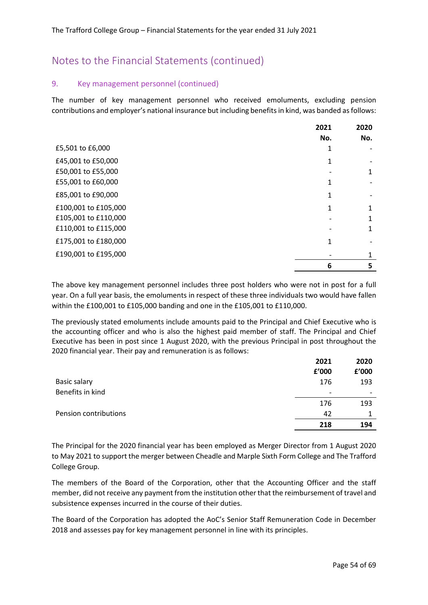#### 9. Key management personnel (continued)

The number of key management personnel who received emoluments, excluding pension contributions and employer's national insurance but including benefits in kind, was banded as follows:

|                      | 2021 | 2020 |
|----------------------|------|------|
|                      | No.  | No.  |
| £5,501 to £6,000     |      |      |
| £45,001 to £50,000   |      |      |
| £50,001 to £55,000   |      |      |
| £55,001 to £60,000   |      |      |
| £85,001 to £90,000   | 1    |      |
| £100,001 to £105,000 |      |      |
| £105,001 to £110,000 |      |      |
| £110,001 to £115,000 |      |      |
| £175,001 to £180,000 | 1    |      |
| £190,001 to £195,000 |      |      |
|                      | 6    | 5    |

The above key management personnel includes three post holders who were not in post for a full year. On a full year basis, the emoluments in respect of these three individuals two would have fallen within the £100,001 to £105,000 banding and one in the £105,001 to £110,000.

The previously stated emoluments include amounts paid to the Principal and Chief Executive who is the accounting officer and who is also the highest paid member of staff. The Principal and Chief Executive has been in post since 1 August 2020, with the previous Principal in post throughout the 2020 financial year. Their pay and remuneration is as follows:

|                       | 2021  | 2020  |
|-----------------------|-------|-------|
|                       | £'000 | £'000 |
| <b>Basic salary</b>   | 176   | 193   |
| Benefits in kind      |       |       |
|                       | 176   | 193   |
| Pension contributions | 42    |       |
|                       | 218   | 194   |

The Principal for the 2020 financial year has been employed as Merger Director from 1 August 2020 to May 2021 to support the merger between Cheadle and Marple Sixth Form College and The Trafford College Group.

The members of the Board of the Corporation, other that the Accounting Officer and the staff member, did not receive any payment from the institution other that the reimbursement of travel and subsistence expenses incurred in the course of their duties.

The Board of the Corporation has adopted the AoC's Senior Staff Remuneration Code in December 2018 and assesses pay for key management personnel in line with its principles.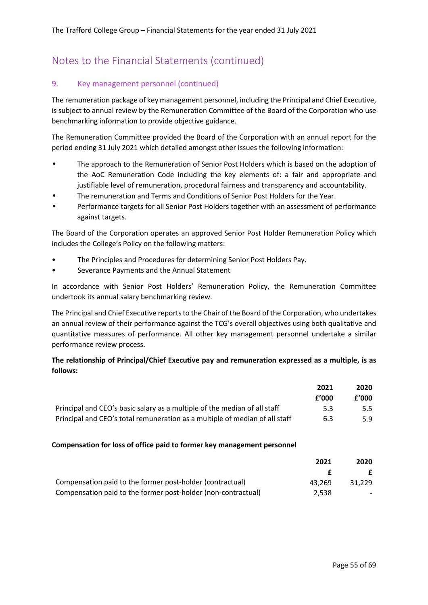#### 9. Key management personnel (continued)

The remuneration package of key management personnel, including the Principal and Chief Executive, is subject to annual review by the Remuneration Committee of the Board of the Corporation who use benchmarking information to provide objective guidance.

The Remuneration Committee provided the Board of the Corporation with an annual report for the period ending 31 July 2021 which detailed amongst other issues the following information:

- The approach to the Remuneration of Senior Post Holders which is based on the adoption of the AoC Remuneration Code including the key elements of: a fair and appropriate and justifiable level of remuneration, procedural fairness and transparency and accountability.
- The remuneration and Terms and Conditions of Senior Post Holders for the Year.
- Performance targets for all Senior Post Holders together with an assessment of performance against targets.

The Board of the Corporation operates an approved Senior Post Holder Remuneration Policy which includes the College's Policy on the following matters:

- The Principles and Procedures for determining Senior Post Holders Pay.
- Severance Payments and the Annual Statement

In accordance with Senior Post Holders' Remuneration Policy, the Remuneration Committee undertook its annual salary benchmarking review.

The Principal and Chief Executive reports to the Chair of the Board of the Corporation, who undertakes an annual review of their performance against the TCG's overall objectives using both qualitative and quantitative measures of performance. All other key management personnel undertake a similar performance review process.

#### **The relationship of Principal/Chief Executive pay and remuneration expressed as a multiple, is as follows:**

|                                                                             | 2021  | 2020    |
|-----------------------------------------------------------------------------|-------|---------|
|                                                                             | f'000 | £'000   |
| Principal and CEO's basic salary as a multiple of the median of all staff   | 5.3   | $5.5 -$ |
| Principal and CEO's total remuneration as a multiple of median of all staff | 6.3   | 5.9     |

#### **Compensation for loss of office paid to former key management personnel**

|                                                               | 2021   | 2020   |
|---------------------------------------------------------------|--------|--------|
|                                                               |        |        |
| Compensation paid to the former post-holder (contractual)     | 43.269 | 31.229 |
| Compensation paid to the former post-holder (non-contractual) | 2.538  |        |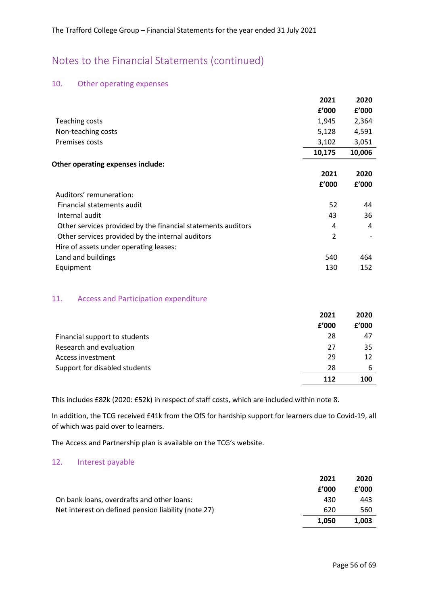#### 10. Other operating expenses

|                                                              | 2021          | 2020   |
|--------------------------------------------------------------|---------------|--------|
|                                                              | f'000         | f'000  |
| Teaching costs                                               | 1,945         | 2,364  |
| Non-teaching costs                                           | 5,128         | 4,591  |
| Premises costs                                               | 3,102         | 3,051  |
|                                                              | 10,175        | 10,006 |
| Other operating expenses include:                            |               |        |
|                                                              | 2021          | 2020   |
|                                                              | f'000         | f'000  |
| Auditors' remuneration:                                      |               |        |
| Financial statements audit                                   | 52            | 44     |
| Internal audit                                               | 43            | 36     |
| Other services provided by the financial statements auditors | 4             | 4      |
| Other services provided by the internal auditors             | $\mathcal{P}$ |        |
| Hire of assets under operating leases:                       |               |        |
| Land and buildings                                           | 540           | 464    |
| Equipment                                                    | 130           | 152    |
|                                                              |               |        |

#### 11. Access and Participation expenditure

|                               | 2021  | 2020  |
|-------------------------------|-------|-------|
|                               | f'000 | f'000 |
| Financial support to students | 28    | 47    |
| Research and evaluation       | 27    | 35    |
| Access investment             | 29    | 12    |
| Support for disabled students | 28    | 6     |
|                               | 112   | 100   |

This includes £82k (2020: £52k) in respect of staff costs, which are included within note 8.

In addition, the TCG received £41k from the OfS for hardship support for learners due to Covid-19, all of which was paid over to learners.

The Access and Partnership plan is available on the TCG's website.

#### 12. Interest payable

|                                                     | 2021  | 2020  |
|-----------------------------------------------------|-------|-------|
|                                                     | f'000 | f'000 |
| On bank loans, overdrafts and other loans:          | 430   | 443   |
| Net interest on defined pension liability (note 27) | 620   | 560   |
|                                                     | 1.050 | 1.003 |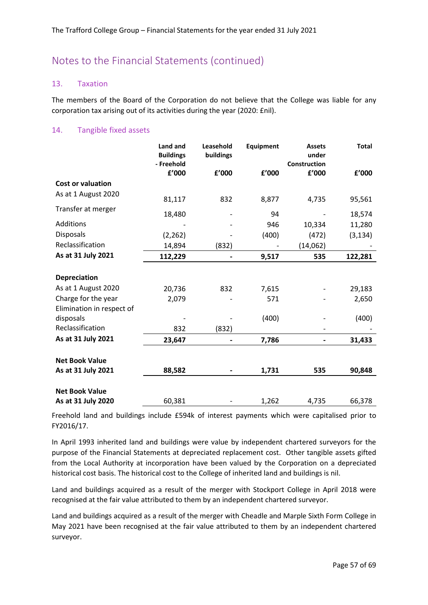#### 13. Taxation

The members of the Board of the Corporation do not believe that the College was liable for any corporation tax arising out of its activities during the year (2020: £nil).

#### 14. Tangible fixed assets

|                           | Land and<br><b>Buildings</b><br>- Freehold | Leasehold<br>buildings | Equipment | <b>Assets</b><br>under<br>Construction | <b>Total</b> |
|---------------------------|--------------------------------------------|------------------------|-----------|----------------------------------------|--------------|
|                           | f'000                                      | f'000                  | £'000     | £'000                                  | f'000        |
| <b>Cost or valuation</b>  |                                            |                        |           |                                        |              |
| As at 1 August 2020       | 81,117                                     | 832                    | 8,877     | 4,735                                  | 95,561       |
| Transfer at merger        | 18,480                                     |                        | 94        |                                        | 18,574       |
| Additions                 |                                            |                        | 946       | 10,334                                 | 11,280       |
| Disposals                 | (2, 262)                                   |                        | (400)     | (472)                                  | (3, 134)     |
| Reclassification          | 14,894                                     | (832)                  |           | (14,062)                               |              |
| As at 31 July 2021        | 112,229                                    |                        | 9,517     | 535                                    | 122,281      |
|                           |                                            |                        |           |                                        |              |
| <b>Depreciation</b>       |                                            |                        |           |                                        |              |
| As at 1 August 2020       | 20,736                                     | 832                    | 7,615     |                                        | 29,183       |
| Charge for the year       | 2,079                                      |                        | 571       |                                        | 2,650        |
| Elimination in respect of |                                            |                        |           |                                        |              |
| disposals                 |                                            |                        | (400)     |                                        | (400)        |
| Reclassification          | 832                                        | (832)                  |           |                                        |              |
| As at 31 July 2021        | 23,647                                     |                        | 7,786     |                                        | 31,433       |
|                           |                                            |                        |           |                                        |              |
| <b>Net Book Value</b>     |                                            |                        |           |                                        |              |
| As at 31 July 2021        | 88,582                                     |                        | 1,731     | 535                                    | 90,848       |
| <b>Net Book Value</b>     |                                            |                        |           |                                        |              |
| As at 31 July 2020        | 60,381                                     |                        | 1,262     | 4,735                                  | 66,378       |

Freehold land and buildings include £594k of interest payments which were capitalised prior to FY2016/17.

In April 1993 inherited land and buildings were value by independent chartered surveyors for the purpose of the Financial Statements at depreciated replacement cost. Other tangible assets gifted from the Local Authority at incorporation have been valued by the Corporation on a depreciated historical cost basis. The historical cost to the College of inherited land and buildings is nil.

Land and buildings acquired as a result of the merger with Stockport College in April 2018 were recognised at the fair value attributed to them by an independent chartered surveyor.

Land and buildings acquired as a result of the merger with Cheadle and Marple Sixth Form College in May 2021 have been recognised at the fair value attributed to them by an independent chartered surveyor.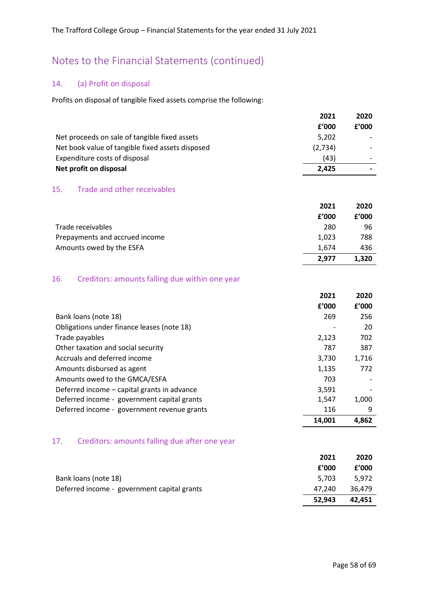### 14. (a) Profit on disposal

Profits on disposal of tangible fixed assets comprise the following:

|                                                             | 2021  | 2020                     |
|-------------------------------------------------------------|-------|--------------------------|
|                                                             | f'000 | f'000                    |
| Net proceeds on sale of tangible fixed assets               | 5,202 | $\overline{\phantom{0}}$ |
| Net book value of tangible fixed assets disposed<br>(2,734) |       |                          |
| Expenditure costs of disposal                               | (43)  |                          |
| Net profit on disposal                                      | 2.425 |                          |

### 15. Trade and other receivables

|                                | 2021  | 2020  |
|--------------------------------|-------|-------|
|                                | f'000 | f'000 |
| Trade receivables              | 280   | 96    |
| Prepayments and accrued income | 1.023 | 788   |
| Amounts owed by the ESFA       | 1.674 | 436   |
|                                | 2.977 | 1.320 |

#### 16. Creditors: amounts falling due within one year

|                                                      | 2021   | 2020  |
|------------------------------------------------------|--------|-------|
|                                                      | £'000  | f'000 |
| Bank loans (note 18)                                 | 269    | 256   |
| Obligations under finance leases (note 18)           |        | 20    |
| Trade payables                                       | 2,123  | 702   |
| Other taxation and social security                   | 787    | 387   |
| Accruals and deferred income                         | 3,730  | 1,716 |
| Amounts disbursed as agent                           | 1,135  | 772   |
| Amounts owed to the GMCA/ESFA                        | 703    |       |
| Deferred income – capital grants in advance          | 3,591  |       |
| Deferred income - government capital grants          | 1,547  | 1,000 |
| Deferred income - government revenue grants          | 116    | 9     |
|                                                      | 14,001 | 4,862 |
| Creditors: amounts falling due after one year<br>17. |        |       |

|                                             | 2021   | 2020   |
|---------------------------------------------|--------|--------|
|                                             | f'000  | f'000  |
| Bank loans (note 18)                        | 5.703  | 5.972  |
| Deferred income - government capital grants | 47.240 | 36.479 |
|                                             | 52.943 | 42.451 |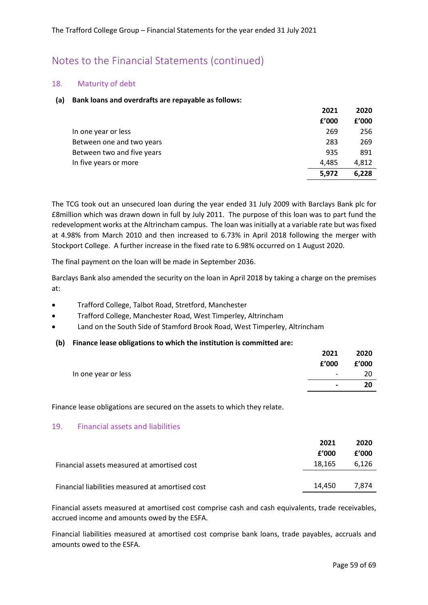#### 18. Maturity of debt

#### **(a) Bank loans and overdrafts are repayable as follows:**

|                            | 2021  | 2020  |
|----------------------------|-------|-------|
|                            | f'000 | f'000 |
| In one year or less        | 269   | 256   |
| Between one and two years  | 283   | 269   |
| Between two and five years | 935   | 891   |
| In five years or more      | 4.485 | 4.812 |
|                            | 5,972 | 6.228 |

The TCG took out an unsecured loan during the year ended 31 July 2009 with Barclays Bank plc for £8million which was drawn down in full by July 2011. The purpose of this loan was to part fund the redevelopment works at the Altrincham campus. The loan was initially at a variable rate but was fixed at 4.98% from March 2010 and then increased to 6.73% in April 2018 following the merger with Stockport College. A further increase in the fixed rate to 6.98% occurred on 1 August 2020.

The final payment on the loan will be made in September 2036.

Barclays Bank also amended the security on the loan in April 2018 by taking a charge on the premises at:

- Trafford College, Talbot Road, Stretford, Manchester
- Trafford College, Manchester Road, West Timperley, Altrincham
- Land on the South Side of Stamford Brook Road, West Timperley, Altrincham
- **(b) Finance lease obligations to which the institution is committed are:**

|                     | 2021                         | 2020  |
|---------------------|------------------------------|-------|
|                     | £'000                        | £'000 |
| In one year or less | $\qquad \qquad \blacksquare$ | 20    |
|                     | $\blacksquare$               | 20    |

Finance lease obligations are secured on the assets to which they relate.

#### 19. Financial assets and liabilities

|                                                  | 2021<br>£'000 | 2020<br>f'000 |
|--------------------------------------------------|---------------|---------------|
| Financial assets measured at amortised cost      | 18.165        | 6.126         |
| Financial liabilities measured at amortised cost | 14.450        | 7.874         |

Financial assets measured at amortised cost comprise cash and cash equivalents, trade receivables, accrued income and amounts owed by the ESFA.

Financial liabilities measured at amortised cost comprise bank loans, trade payables, accruals and amounts owed to the ESFA.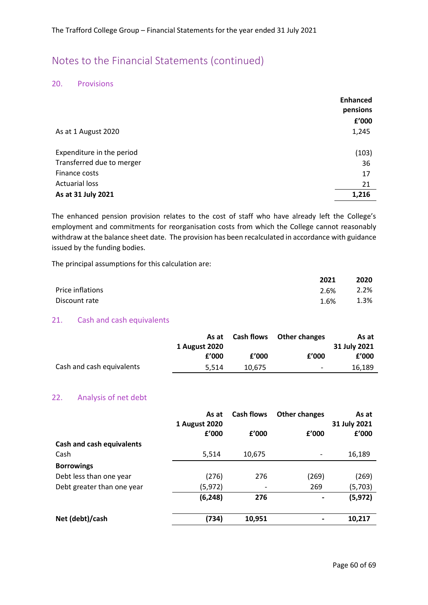#### 20. Provisions

|                           | <b>Enhanced</b><br>pensions |
|---------------------------|-----------------------------|
|                           | f'000                       |
| As at 1 August 2020       | 1,245                       |
| Expenditure in the period | (103)                       |
| Transferred due to merger | 36                          |
| Finance costs             | 17                          |
| <b>Actuarial loss</b>     | 21                          |
| As at 31 July 2021        | 1,216                       |

The enhanced pension provision relates to the cost of staff who have already left the College's employment and commitments for reorganisation costs from which the College cannot reasonably withdraw at the balance sheet date. The provision has been recalculated in accordance with guidance issued by the funding bodies.

The principal assumptions for this calculation are:

|                  | 2021 | 2020 |
|------------------|------|------|
| Price inflations | 2.6% | 2.2% |
| Discount rate    | 1.6% | 1.3% |

#### 21. Cash and cash equivalents

|                           | As at<br>1 August 2020 |        | <b>Cash flows</b> Other changes | As at<br>31 July 2021 |
|---------------------------|------------------------|--------|---------------------------------|-----------------------|
|                           | f'000                  | f'000  | f'000                           | £'000                 |
| Cash and cash equivalents | 5.514                  | 10.675 | $\overline{\phantom{0}}$        | 16,189                |

#### 22. Analysis of net debt

|                                  | As at         | <b>Cash flows</b> | <b>Other changes</b>     | As at        |
|----------------------------------|---------------|-------------------|--------------------------|--------------|
|                                  | 1 August 2020 |                   |                          | 31 July 2021 |
|                                  | f'000         | f'000             | f'000                    | f'000        |
| <b>Cash and cash equivalents</b> |               |                   |                          |              |
| Cash                             | 5,514         | 10,675            |                          | 16,189       |
| <b>Borrowings</b>                |               |                   |                          |              |
| Debt less than one year          | (276)         | 276               | (269)                    | (269)        |
| Debt greater than one year       | (5, 972)      |                   | 269                      | (5,703)      |
|                                  | (6, 248)      | 276               | $\overline{\phantom{a}}$ | (5, 972)     |
| Net (debt)/cash                  | (734)         | 10,951            |                          | 10,217       |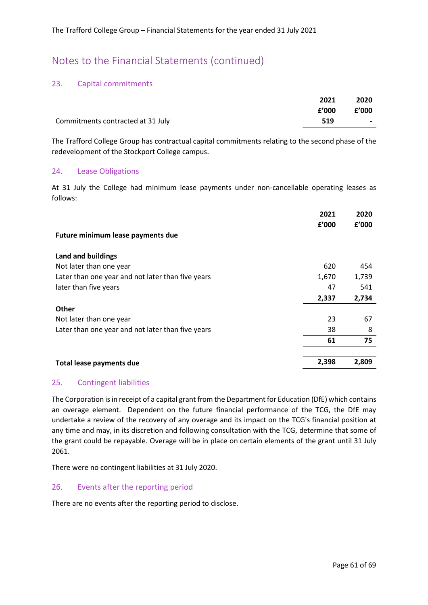#### 23. Capital commitments

|                                   | 2021  | 2020   |
|-----------------------------------|-------|--------|
|                                   | £'000 | f'000  |
| Commitments contracted at 31 July | 519   | $\sim$ |

The Trafford College Group has contractual capital commitments relating to the second phase of the redevelopment of the Stockport College campus.

#### 24. Lease Obligations

At 31 July the College had minimum lease payments under non-cancellable operating leases as follows:

|                                                   | 2021  | 2020  |
|---------------------------------------------------|-------|-------|
|                                                   | f'000 | f'000 |
| Future minimum lease payments due                 |       |       |
| Land and buildings                                |       |       |
| Not later than one year                           | 620   | 454   |
| Later than one year and not later than five years | 1,670 | 1,739 |
| later than five years                             | 47    | 541   |
|                                                   | 2,337 | 2,734 |
| <b>Other</b>                                      |       |       |
| Not later than one year                           | 23    | 67    |
| Later than one year and not later than five years | 38    | 8     |
|                                                   | 61    | 75    |
| <b>Total lease payments due</b>                   | 2,398 | 2,809 |

#### 25. Contingent liabilities

The Corporation is in receipt of a capital grant from the Department for Education (DfE) which contains an overage element. Dependent on the future financial performance of the TCG, the DfE may undertake a review of the recovery of any overage and its impact on the TCG's financial position at any time and may, in its discretion and following consultation with the TCG, determine that some of the grant could be repayable. Overage will be in place on certain elements of the grant until 31 July 2061.

There were no contingent liabilities at 31 July 2020.

#### 26. Events after the reporting period

There are no events after the reporting period to disclose.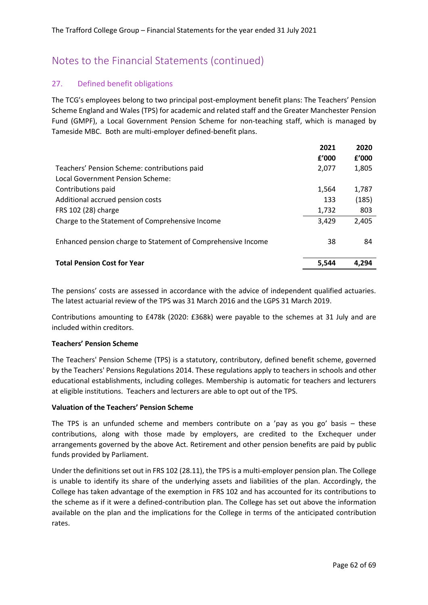#### 27. Defined benefit obligations

The TCG's employees belong to two principal post-employment benefit plans: The Teachers' Pension Scheme England and Wales (TPS) for academic and related staff and the Greater Manchester Pension Fund (GMPF), a Local Government Pension Scheme for non-teaching staff, which is managed by Tameside MBC. Both are multi-employer defined-benefit plans.

|                                                              | 2021  | 2020  |
|--------------------------------------------------------------|-------|-------|
|                                                              | f'000 | f'000 |
| Teachers' Pension Scheme: contributions paid                 | 2,077 | 1,805 |
| Local Government Pension Scheme:                             |       |       |
| Contributions paid                                           | 1.564 | 1,787 |
| Additional accrued pension costs                             | 133   | (185) |
| FRS 102 (28) charge                                          | 1,732 | 803   |
| Charge to the Statement of Comprehensive Income              | 3.429 | 2,405 |
| Enhanced pension charge to Statement of Comprehensive Income | 38    | 84    |
| <b>Total Pension Cost for Year</b>                           | 5.544 | 4.294 |

The pensions' costs are assessed in accordance with the advice of independent qualified actuaries. The latest actuarial review of the TPS was 31 March 2016 and the LGPS 31 March 2019.

Contributions amounting to £478k (2020: £368k) were payable to the schemes at 31 July and are included within creditors.

#### **Teachers' Pension Scheme**

The Teachers' Pension Scheme (TPS) is a statutory, contributory, defined benefit scheme, governed by the Teachers' Pensions Regulations 2014. These regulations apply to teachers in schools and other educational establishments, including colleges. Membership is automatic for teachers and lecturers at eligible institutions. Teachers and lecturers are able to opt out of the TPS.

#### **Valuation of the Teachers' Pension Scheme**

The TPS is an unfunded scheme and members contribute on a 'pay as you go' basis – these contributions, along with those made by employers, are credited to the Exchequer under arrangements governed by the above Act. Retirement and other pension benefits are paid by public funds provided by Parliament.

Under the definitions set out in FRS 102 (28.11), the TPS is a multi-employer pension plan. The College is unable to identify its share of the underlying assets and liabilities of the plan. Accordingly, the College has taken advantage of the exemption in FRS 102 and has accounted for its contributions to the scheme as if it were a defined-contribution plan. The College has set out above the information available on the plan and the implications for the College in terms of the anticipated contribution rates.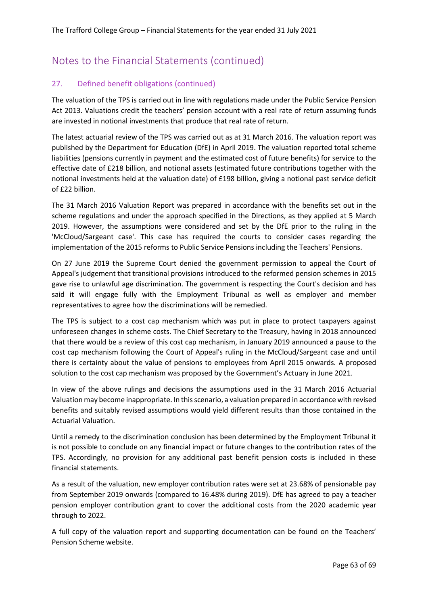### 27. Defined benefit obligations (continued)

The valuation of the TPS is carried out in line with regulations made under the Public Service Pension Act 2013. Valuations credit the teachers' pension account with a real rate of return assuming funds are invested in notional investments that produce that real rate of return.

The latest actuarial review of the TPS was carried out as at 31 March 2016. The valuation report was published by the Department for Education (DfE) in April 2019. The valuation reported total scheme liabilities (pensions currently in payment and the estimated cost of future benefits) for service to the effective date of £218 billion, and notional assets (estimated future contributions together with the notional investments held at the valuation date) of £198 billion, giving a notional past service deficit of £22 billion.

The 31 March 2016 Valuation Report was prepared in accordance with the benefits set out in the scheme regulations and under the approach specified in the Directions, as they applied at 5 March 2019. However, the assumptions were considered and set by the DfE prior to the ruling in the 'McCloud/Sargeant case'. This case has required the courts to consider cases regarding the implementation of the 2015 reforms to Public Service Pensions including the Teachers' Pensions.

On 27 June 2019 the Supreme Court denied the government permission to appeal the Court of Appeal's judgement that transitional provisions introduced to the reformed pension schemes in 2015 gave rise to unlawful age discrimination. The government is respecting the Court's decision and has said it will engage fully with the Employment Tribunal as well as employer and member representatives to agree how the discriminations will be remedied.

The TPS is subject to a cost cap mechanism which was put in place to protect taxpayers against unforeseen changes in scheme costs. The Chief Secretary to the Treasury, having in 2018 announced that there would be a review of this cost cap mechanism, in January 2019 announced a pause to the cost cap mechanism following the Court of Appeal's ruling in the McCloud/Sargeant case and until there is certainty about the value of pensions to employees from April 2015 onwards. A proposed solution to the cost cap mechanism was proposed by the Government's Actuary in June 2021.

In view of the above rulings and decisions the assumptions used in the 31 March 2016 Actuarial Valuation may become inappropriate. In this scenario, a valuation prepared in accordance with revised benefits and suitably revised assumptions would yield different results than those contained in the Actuarial Valuation.

Until a remedy to the discrimination conclusion has been determined by the Employment Tribunal it is not possible to conclude on any financial impact or future changes to the contribution rates of the TPS. Accordingly, no provision for any additional past benefit pension costs is included in these financial statements.

As a result of the valuation, new employer contribution rates were set at 23.68% of pensionable pay from September 2019 onwards (compared to 16.48% during 2019). DfE has agreed to pay a teacher pension employer contribution grant to cover the additional costs from the 2020 academic year through to 2022.

A full copy of the valuation report and supporting documentation can be found on the Teachers' Pension Scheme website.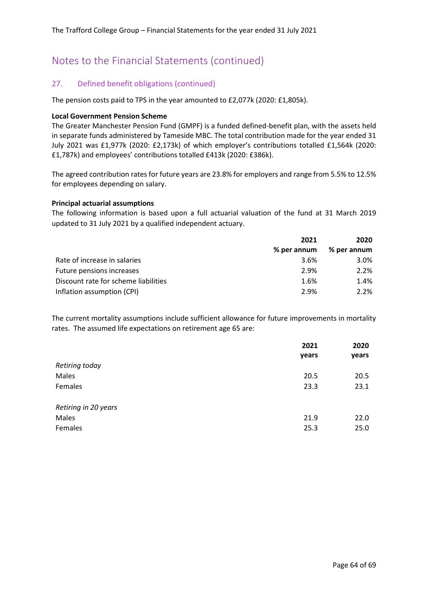#### 27. Defined benefit obligations (continued)

The pension costs paid to TPS in the year amounted to £2,077k (2020: £1,805k).

#### **Local Government Pension Scheme**

The Greater Manchester Pension Fund (GMPF) is a funded defined-benefit plan, with the assets held in separate funds administered by Tameside MBC. The total contribution made for the year ended 31 July 2021 was £1,977k (2020: £2,173k) of which employer's contributions totalled £1,564k (2020: £1,787k) and employees' contributions totalled £413k (2020: £386k).

The agreed contribution rates for future years are 23.8% for employers and range from 5.5% to 12.5% for employees depending on salary.

#### **Principal actuarial assumptions**

The following information is based upon a full actuarial valuation of the fund at 31 March 2019 updated to 31 July 2021 by a qualified independent actuary.

|                                      | 2021        | 2020        |  |
|--------------------------------------|-------------|-------------|--|
|                                      | % per annum | % per annum |  |
| Rate of increase in salaries         | 3.6%        | $3.0\%$     |  |
| Future pensions increases            | 2.9%        | 2.2%        |  |
| Discount rate for scheme liabilities | 1.6%        | 1.4%        |  |
| Inflation assumption (CPI)           | 2.9%        | $2.2\%$     |  |

The current mortality assumptions include sufficient allowance for future improvements in mortality rates. The assumed life expectations on retirement age 65 are:

|                      | 2021<br>years | 2020<br>years |
|----------------------|---------------|---------------|
| Retiring today       |               |               |
| Males                | 20.5          | 20.5          |
| Females              | 23.3          | 23.1          |
| Retiring in 20 years |               |               |
| Males                | 21.9          | 22.0          |
| Females              | 25.3          | 25.0          |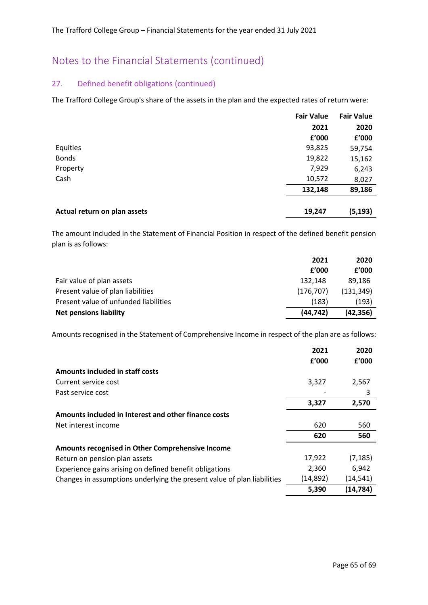### 27. Defined benefit obligations (continued)

The Trafford College Group's share of the assets in the plan and the expected rates of return were:

|                              | <b>Fair Value</b> | <b>Fair Value</b> |
|------------------------------|-------------------|-------------------|
|                              | 2021              | 2020              |
|                              | £'000             | £'000             |
| Equities                     | 93,825            | 59,754            |
| <b>Bonds</b>                 | 19,822            | 15,162            |
| Property                     | 7,929             | 6,243             |
| Cash                         | 10,572            | 8,027             |
|                              | 132,148           | 89,186            |
|                              |                   | (5, 193)          |
| Actual return on plan assets | 19,247            |                   |

The amount included in the Statement of Financial Position in respect of the defined benefit pension plan is as follows:

|                                       | 2021      | 2020       |
|---------------------------------------|-----------|------------|
|                                       | f'000     | f'000      |
| Fair value of plan assets             | 132.148   | 89.186     |
| Present value of plan liabilities     | (176.707) | (131, 349) |
| Present value of unfunded liabilities | (183)     | (193)      |
| Net pensions liability                | (44, 742) | (42, 356)  |

Amounts recognised in the Statement of Comprehensive Income in respect of the plan are as follows:

|                                                                         | 2021      | 2020      |
|-------------------------------------------------------------------------|-----------|-----------|
|                                                                         | f'000     | f'000     |
| Amounts included in staff costs                                         |           |           |
| Current service cost                                                    | 3,327     | 2,567     |
| Past service cost                                                       |           | 3         |
|                                                                         | 3,327     | 2,570     |
| Amounts included in Interest and other finance costs                    |           |           |
| Net interest income                                                     | 620       | 560       |
|                                                                         | 620       | 560       |
| Amounts recognised in Other Comprehensive Income                        |           |           |
| Return on pension plan assets                                           | 17,922    | (7, 185)  |
| Experience gains arising on defined benefit obligations                 | 2,360     | 6,942     |
| Changes in assumptions underlying the present value of plan liabilities | (14, 892) | (14, 541) |
|                                                                         | 5,390     | (14, 784) |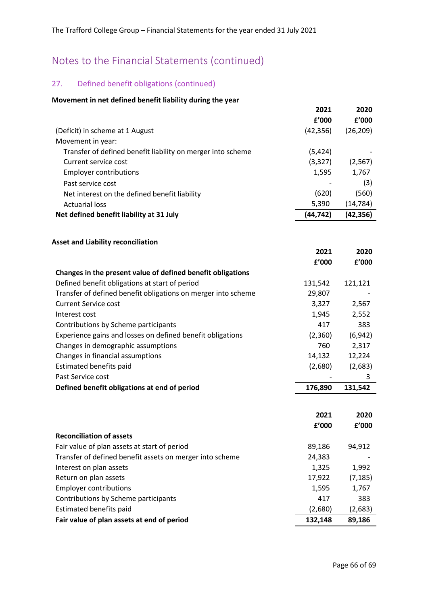### 27. Defined benefit obligations (continued)

#### **Movement in net defined benefit liability during the year**

|                                                               | 2021          | 2020          |
|---------------------------------------------------------------|---------------|---------------|
|                                                               | f'000         | f'000         |
| (Deficit) in scheme at 1 August                               | (42, 356)     | (26, 209)     |
| Movement in year:                                             |               |               |
| Transfer of defined benefit liability on merger into scheme   | (5, 424)      |               |
| Current service cost                                          | (3, 327)      | (2, 567)      |
| <b>Employer contributions</b>                                 | 1,595         | 1,767         |
| Past service cost                                             |               | (3)           |
| Net interest on the defined benefit liability                 | (620)         | (560)         |
| <b>Actuarial loss</b>                                         | 5,390         | (14, 784)     |
| Net defined benefit liability at 31 July                      | (44, 742)     | (42, 356)     |
| <b>Asset and Liability reconciliation</b>                     |               |               |
|                                                               | 2021          | 2020          |
|                                                               | f'000         | £'000         |
| Changes in the present value of defined benefit obligations   |               |               |
| Defined benefit obligations at start of period                | 131,542       | 121,121       |
| Transfer of defined benefit obligations on merger into scheme | 29,807        |               |
| <b>Current Service cost</b>                                   | 3,327         | 2,567         |
| Interest cost                                                 | 1,945         | 2,552         |
| Contributions by Scheme participants                          | 417           | 383           |
| Experience gains and losses on defined benefit obligations    | (2,360)       | (6, 942)      |
| Changes in demographic assumptions                            | 760           | 2,317         |
| Changes in financial assumptions                              | 14,132        | 12,224        |
| Estimated benefits paid                                       | (2,680)       | (2,683)       |
| Past Service cost                                             |               | 3             |
| Defined benefit obligations at end of period                  | 176,890       | 131,542       |
|                                                               |               |               |
|                                                               | 2021<br>£'000 | 2020<br>£'000 |
| <b>Reconciliation of assets</b>                               |               |               |
| Fair value of plan assets at start of period                  | 89,186        | 94,912        |
| Transfer of defined benefit assets on merger into scheme      | 24,383        |               |
| Interest on plan assets                                       | 1,325         | 1,992         |
| Return on plan assets                                         | 17,922        | (7, 185)      |
| <b>Employer contributions</b>                                 | 1,595         | 1,767         |
| Contributions by Scheme participants                          | 417           | 383           |
| Estimated benefits paid                                       | (2,680)       | (2,683)       |

**Fair value of plan assets at end of period 132,148 89,186**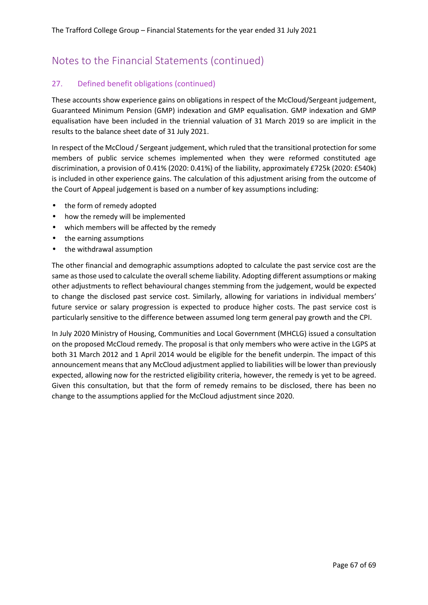### 27. Defined benefit obligations (continued)

These accounts show experience gains on obligations in respect of the McCloud/Sergeant judgement, Guaranteed Minimum Pension (GMP) indexation and GMP equalisation. GMP indexation and GMP equalisation have been included in the triennial valuation of 31 March 2019 so are implicit in the results to the balance sheet date of 31 July 2021.

In respect of the McCloud / Sergeant judgement, which ruled that the transitional protection for some members of public service schemes implemented when they were reformed constituted age discrimination, a provision of 0.41% (2020: 0.41%) of the liability, approximately £725k (2020: £540k) is included in other experience gains. The calculation of this adjustment arising from the outcome of the Court of Appeal judgement is based on a number of key assumptions including:

- the form of remedy adopted
- how the remedy will be implemented
- which members will be affected by the remedy
- the earning assumptions
- the withdrawal assumption

The other financial and demographic assumptions adopted to calculate the past service cost are the same as those used to calculate the overall scheme liability. Adopting different assumptions or making other adjustments to reflect behavioural changes stemming from the judgement, would be expected to change the disclosed past service cost. Similarly, allowing for variations in individual members' future service or salary progression is expected to produce higher costs. The past service cost is particularly sensitive to the difference between assumed long term general pay growth and the CPI.

In July 2020 Ministry of Housing, Communities and Local Government (MHCLG) issued a consultation on the proposed McCloud remedy. The proposal is that only members who were active in the LGPS at both 31 March 2012 and 1 April 2014 would be eligible for the benefit underpin. The impact of this announcement means that any McCloud adjustment applied to liabilities will be lower than previously expected, allowing now for the restricted eligibility criteria, however, the remedy is yet to be agreed. Given this consultation, but that the form of remedy remains to be disclosed, there has been no change to the assumptions applied for the McCloud adjustment since 2020.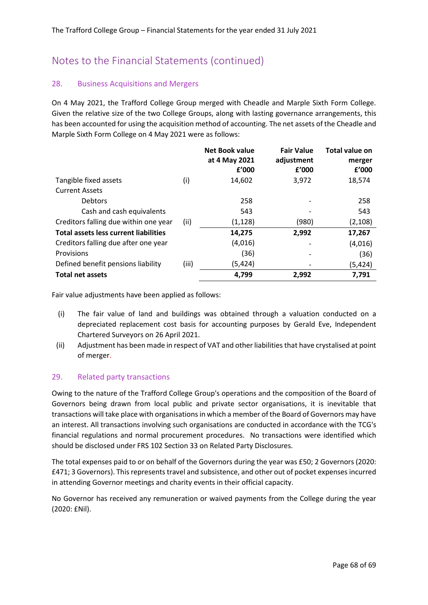#### 28. Business Acquisitions and Mergers

On 4 May 2021, the Trafford College Group merged with Cheadle and Marple Sixth Form College. Given the relative size of the two College Groups, along with lasting governance arrangements, this has been accounted for using the acquisition method of accounting. The net assets of the Cheadle and Marple Sixth Form College on 4 May 2021 were as follows:

|                                              |       | <b>Net Book value</b><br>at 4 May 2021 | <b>Fair Value</b><br>adjustment | Total value on<br>merger |
|----------------------------------------------|-------|----------------------------------------|---------------------------------|--------------------------|
|                                              |       | f'000                                  | f'000                           | f'000                    |
| Tangible fixed assets                        | (i)   | 14,602                                 | 3,972                           | 18,574                   |
| <b>Current Assets</b>                        |       |                                        |                                 |                          |
| <b>Debtors</b>                               |       | 258                                    |                                 | 258                      |
| Cash and cash equivalents                    |       | 543                                    |                                 | 543                      |
| Creditors falling due within one year        | (ii)  | (1, 128)                               | (980)                           | (2, 108)                 |
| <b>Total assets less current liabilities</b> |       | 14,275                                 | 2,992                           | 17,267                   |
| Creditors falling due after one year         |       | (4,016)                                |                                 | (4,016)                  |
| Provisions                                   |       | (36)                                   |                                 | (36)                     |
| Defined benefit pensions liability           | (iii) | (5,424)                                |                                 | (5,424)                  |
| <b>Total net assets</b>                      |       | 4,799                                  | 2,992                           | 7,791                    |

Fair value adjustments have been applied as follows:

- (i) The fair value of land and buildings was obtained through a valuation conducted on a depreciated replacement cost basis for accounting purposes by Gerald Eve, Independent Chartered Surveyors on 26 April 2021.
- (ii) Adjustment has been made in respect of VAT and other liabilities that have crystalised at point of merger.

#### 29. Related party transactions

Owing to the nature of the Trafford College Group's operations and the composition of the Board of Governors being drawn from local public and private sector organisations, it is inevitable that transactions will take place with organisations in which a member of the Board of Governors may have an interest. All transactions involving such organisations are conducted in accordance with the TCG's financial regulations and normal procurement procedures. No transactions were identified which should be disclosed under FRS 102 Section 33 on Related Party Disclosures.

The total expenses paid to or on behalf of the Governors during the year was £50; 2 Governors (2020: £471; 3 Governors). This represents travel and subsistence, and other out of pocket expenses incurred in attending Governor meetings and charity events in their official capacity.

No Governor has received any remuneration or waived payments from the College during the year (2020: £Nil).